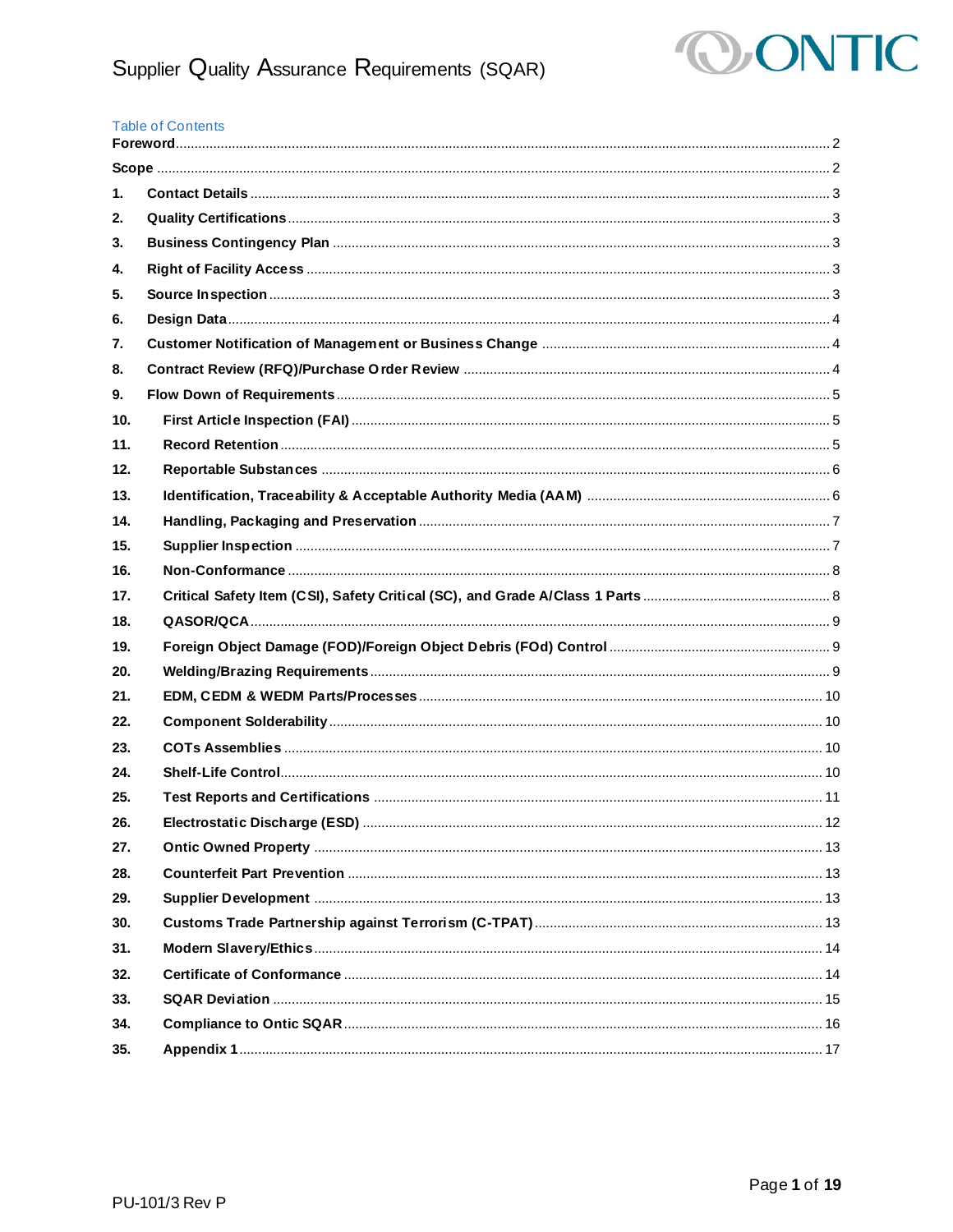

#### **Table of Contents**

| 1.  |  |
|-----|--|
| 2.  |  |
| 3.  |  |
| 4.  |  |
| 5.  |  |
| 6.  |  |
| 7.  |  |
| 8.  |  |
| 9.  |  |
| 10. |  |
| 11. |  |
| 12. |  |
| 13. |  |
| 14. |  |
| 15. |  |
| 16. |  |
| 17. |  |
| 18. |  |
| 19. |  |
| 20. |  |
| 21. |  |
| 22. |  |
| 23. |  |
| 24. |  |
| 25. |  |
| 26. |  |
| 27. |  |
| 28. |  |
| 29. |  |
| 30. |  |
| 31. |  |
| 32. |  |
| 33. |  |
| 34. |  |
| 35. |  |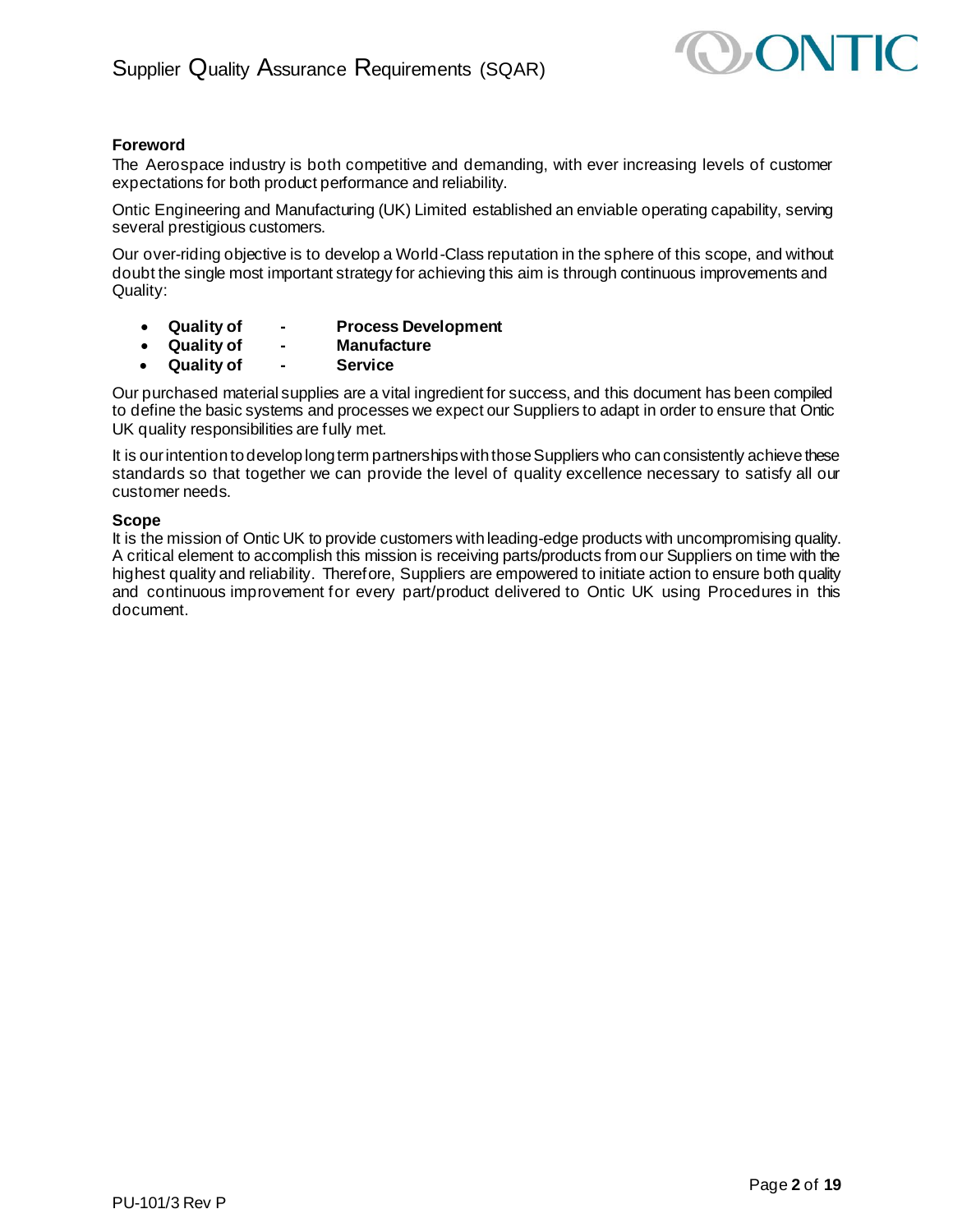

# <span id="page-1-0"></span>**Foreword**

The Aerospace industry is both competitive and demanding, with ever increasing levels of customer expectations for both product performance and reliability.

Ontic Engineering and Manufacturing (UK) Limited established an enviable operating capability, serving several prestigious customers.

Our over-riding objective is to develop a World-Class reputation in the sphere of this scope, and without doubt the single most important strategy for achieving this aim is through continuous improvements and Quality:

- **Quality of - Process Development**
- **Quality of - Manufacture**
- **Quality of - Service**

Our purchased material supplies are a vital ingredient for success, and this document has been compiled to define the basic systems and processes we expect our Suppliers to adapt in order to ensure that Ontic UK quality responsibilities are fully met.

It is our intention to develop long term partnerships with those Suppliers who can consistently achieve these standards so that together we can provide the level of quality excellence necessary to satisfy all our customer needs.

#### <span id="page-1-1"></span>**Scope**

It is the mission of Ontic UK to provide customers with leading-edge products with uncompromising quality. A critical element to accomplish this mission is receiving parts/products from our Suppliers on time with the highest quality and reliability. Therefore, Suppliers are empowered to initiate action to ensure both quality and continuous improvement for every part/product delivered to Ontic UK using Procedures in this document.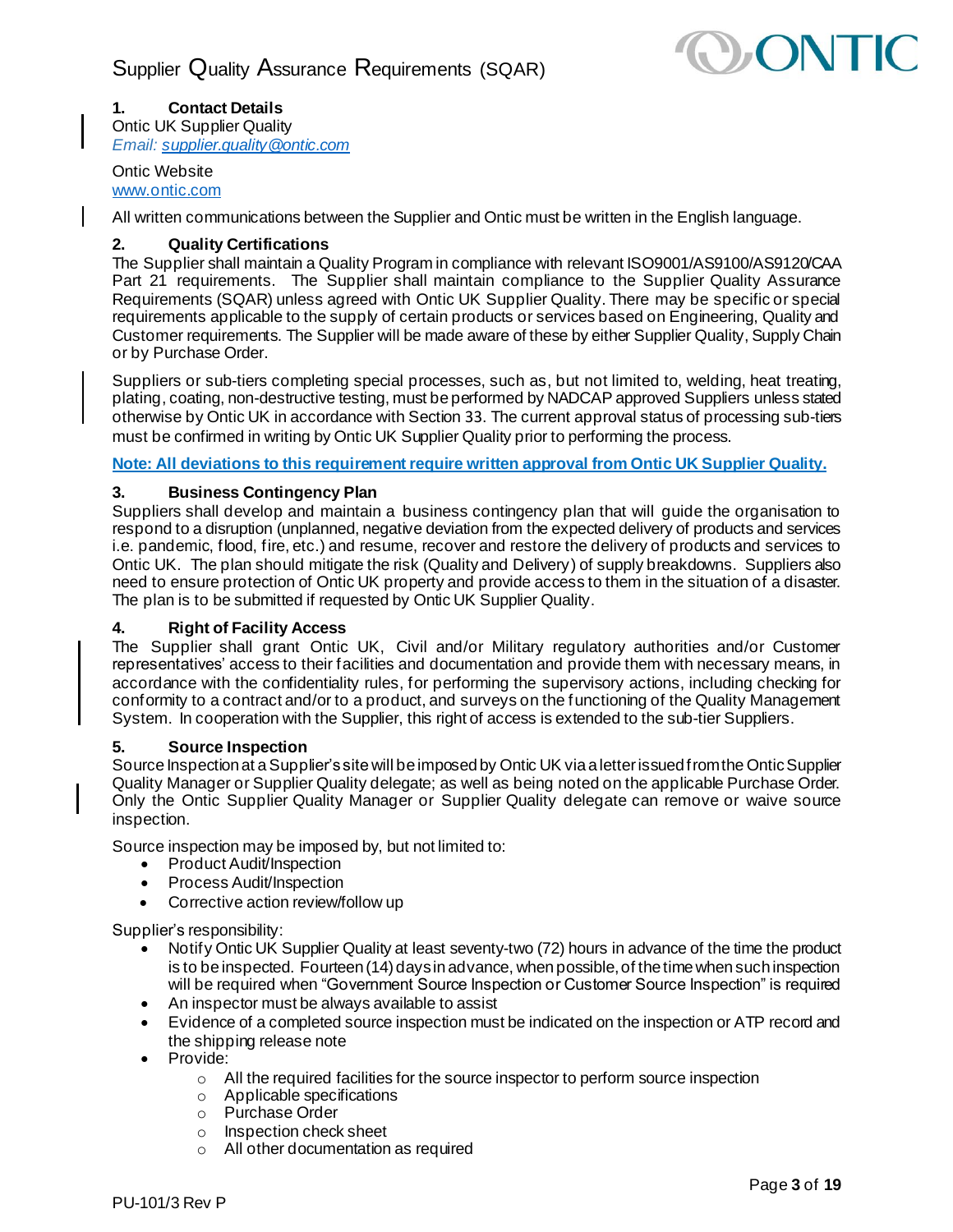

# <span id="page-2-0"></span>**1. Contact Details**

Ontic UK Supplier Quality *Email[: supplier.quality@ontic.com](mailto:supplier.quality@ontic.com)*

# Ontic Website

[www.ontic.com](http://www.ontic.com/)

All written communications between the Supplier and Ontic must be written in the English language.

# <span id="page-2-1"></span>**2. Quality Certifications**

The Supplier shall maintain a Quality Program in compliance with relevant ISO9001/AS9100/AS9120/CAA Part 21 requirements. The Supplier shall maintain compliance to the Supplier Quality Assurance Requirements (SQAR) unless agreed with Ontic UK Supplier Quality. There may be specific or special requirements applicable to the supply of certain products or services based on Engineering, Quality and Customer requirements. The Supplier will be made aware of these by either Supplier Quality, Supply Chain or by Purchase Order.

Suppliers or sub-tiers completing special processes, such as, but not limited to, welding, heat treating, plating, coating, non-destructive testing, must be performed by NADCAP approved Suppliers unless stated otherwise by Ontic UK in accordance with Section 33. The current approval status of processing sub-tiers must be confirmed in writing by Ontic UK Supplier Quality prior to performing the process.

**Note: All deviations to this requirement require written approval from Ontic UK Supplier Quality.**

# <span id="page-2-2"></span>**3. Business Contingency Plan**

Suppliers shall develop and maintain a business contingency plan that will guide the organisation to respond to a disruption (unplanned, negative deviation from the expected delivery of products and services i.e. pandemic, flood, fire, etc.) and resume, recover and restore the delivery of products and services to Ontic UK. The plan should mitigate the risk (Quality and Delivery) of supply breakdowns. Suppliers also need to ensure protection of Ontic UK property and provide access to them in the situation of a disaster. The plan is to be submitted if requested by Ontic UK Supplier Quality.

# <span id="page-2-3"></span>**4. Right of Facility Access**

The Supplier shall grant Ontic UK, Civil and/or Military regulatory authorities and/or Customer representatives' access to their facilities and documentation and provide them with necessary means, in accordance with the confidentiality rules, for performing the supervisory actions, including checking for conformity to a contract and/or to a product, and surveys on the functioning of the Quality Management System. In cooperation with the Supplier, this right of access is extended to the sub-tier Suppliers.

# <span id="page-2-4"></span>**5. Source Inspection**

Source Inspection at a Supplier's site will be imposed by Ontic UK via a letter issued from the Ontic Supplier Quality Manager or Supplier Quality delegate; as well as being noted on the applicable Purchase Order. Only the Ontic Supplier Quality Manager or Supplier Quality delegate can remove or waive source inspection.

Source inspection may be imposed by, but not limited to:

- Product Audit/Inspection
- Process Audit/Inspection
- Corrective action review/follow up

Supplier's responsibility:

- Notify Ontic UK Supplier Quality at least seventy-two (72) hours in advance of the time the product is to be inspected. Fourteen (14) days in advance, when possible, of the time when such inspection will be required when "Government Source Inspection or Customer Source Inspection" is required
- An inspector must be always available to assist
- Evidence of a completed source inspection must be indicated on the inspection or ATP record and the shipping release note
- Provide:
	- o All the required facilities for the source inspector to perform source inspection
	- o Applicable specifications
	- o Purchase Order
	- o Inspection check sheet
	- o All other documentation as required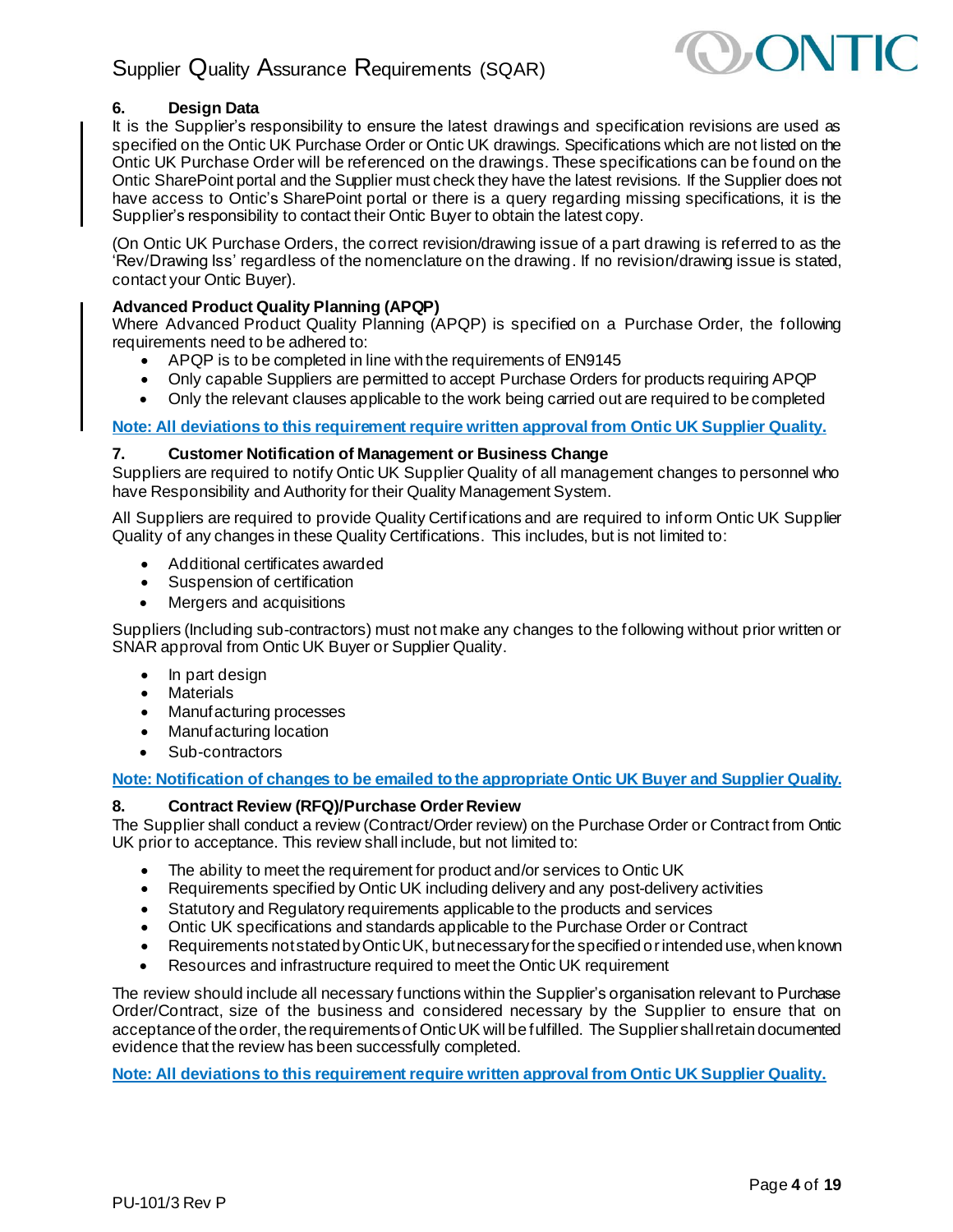

# <span id="page-3-0"></span>**6. Design Data**

It is the Supplier's responsibility to ensure the latest drawings and specification revisions are used as specified on the Ontic UK Purchase Order or Ontic UK drawings. Specifications which are not listed on the Ontic UK Purchase Order will be referenced on the drawings. These specifications can be found on the Ontic SharePoint portal and the Supplier must check they have the latest revisions. If the Supplier does not have access to Ontic's SharePoint portal or there is a query regarding missing specifications, it is the Supplier's responsibility to contact their Ontic Buyer to obtain the latest copy.

(On Ontic UK Purchase Orders, the correct revision/drawing issue of a part drawing is referred to as the 'Rev/Drawing Iss' regardless of the nomenclature on the drawing. If no revision/drawing issue is stated, contact your Ontic Buyer).

### **Advanced Product Quality Planning (APQP)**

Where Advanced Product Quality Planning (APQP) is specified on a Purchase Order, the following requirements need to be adhered to:

- APQP is to be completed in line with the requirements of EN9145
- Only capable Suppliers are permitted to accept Purchase Orders for products requiring APQP
- Only the relevant clauses applicable to the work being carried out are required to be completed

# **Note: All deviations to this requirement require written approval from Ontic UK Supplier Quality.**

### <span id="page-3-1"></span>**7. Customer Notification of Management or Business Change**

Suppliers are required to notify Ontic UK Supplier Quality of all management changes to personnel who have Responsibility and Authority for their Quality Management System.

All Suppliers are required to provide Quality Certifications and are required to inform Ontic UK Supplier Quality of any changes in these Quality Certifications. This includes, but is not limited to:

- Additional certificates awarded
- Suspension of certification
- Mergers and acquisitions

Suppliers (Including sub-contractors) must not make any changes to the following without prior written or SNAR approval from Ontic UK Buyer or Supplier Quality.

- In part design
- **Materials**
- Manufacturing processes
- Manufacturing location
- Sub-contractors

**Note: Notification of changes to be emailed to the appropriate Ontic UK Buyer and Supplier Quality.**

#### <span id="page-3-2"></span>**8. Contract Review (RFQ)/Purchase Order Review**

The Supplier shall conduct a review (Contract/Order review) on the Purchase Order or Contract from Ontic UK prior to acceptance. This review shall include, but not limited to:

- The ability to meet the requirement for product and/or services to Ontic UK
- Requirements specified by Ontic UK including delivery and any post-delivery activities
- Statutory and Regulatory requirements applicable to the products and services
- Ontic UK specifications and standards applicable to the Purchase Order or Contract
- Requirements not stated by Ontic UK, but necessary for the specified or intended use, when known
- Resources and infrastructure required to meet the Ontic UK requirement

The review should include all necessary functions within the Supplier's organisation relevant to Purchase Order/Contract, size of the business and considered necessary by the Supplier to ensure that on acceptance of the order, the requirements of Ontic UK will be fulfilled. The Supplier shall retain documented evidence that the review has been successfully completed.

**Note: All deviations to this requirement require written approval from Ontic UK Supplier Quality.**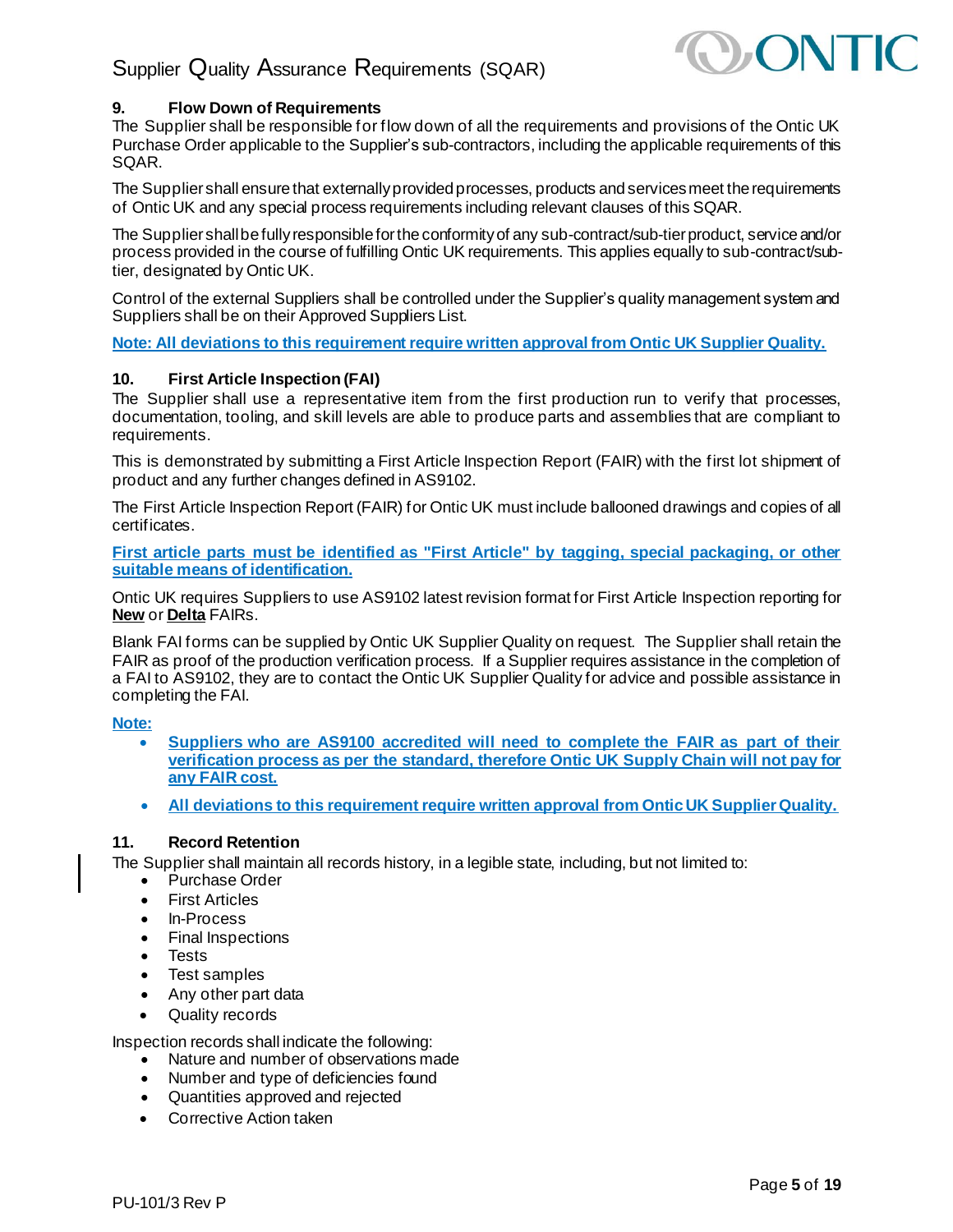

# <span id="page-4-0"></span>**9. Flow Down of Requirements**

The Supplier shall be responsible for flow down of all the requirements and provisions of the Ontic UK Purchase Order applicable to the Supplier's sub-contractors, including the applicable requirements of this SQAR.

The Supplier shall ensure that externally provided processes, products and services meet the requirements of Ontic UK and any special process requirements including relevant clauses of this SQAR.

The Supplier shall be fully responsible for the conformity of any sub-contract/sub-tier product, service and/or process provided in the course of fulfilling Ontic UK requirements. This applies equally to sub-contract/subtier, designated by Ontic UK.

Control of the external Suppliers shall be controlled under the Supplier's quality management system and Suppliers shall be on their Approved Suppliers List.

<span id="page-4-1"></span>**Note: All deviations to this requirement require written approval from Ontic UK Supplier Quality.**

# **10. First Article Inspection (FAI)**

The Supplier shall use a representative item from the first production run to verify that processes, documentation, tooling, and skill levels are able to produce parts and assemblies that are compliant to requirements.

This is demonstrated by submitting a First Article Inspection Report (FAIR) with the first lot shipment of product and any further changes defined in AS9102.

The First Article Inspection Report (FAIR) for Ontic UK must include ballooned drawings and copies of all certificates.

**First article parts must be identified as "First Article" by tagging, special packaging, or other suitable means of identification.**

Ontic UK requires Suppliers to use AS9102 latest revision format for First Article Inspection reporting for **New** or **Delta** FAIRs.

Blank FAI forms can be supplied by Ontic UK Supplier Quality on request. The Supplier shall retain the FAIR as proof of the production verification process. If a Supplier requires assistance in the completion of a FAI to AS9102, they are to contact the Ontic UK Supplier Quality for advice and possible assistance in completing the FAI.

# **Note:**

- **Suppliers who are AS9100 accredited will need to complete the FAIR as part of their verification process as per the standard, therefore Ontic UK Supply Chain will not pay for any FAIR cost.**
- **All deviations to this requirement require written approval from Ontic UK Supplier Quality.**

# <span id="page-4-2"></span>**11. Record Retention**

The Supplier shall maintain all records history, in a legible state, including, but not limited to:

- Purchase Order
- **First Articles**
- In-Process
- Final Inspections
- Tests
- Test samples
- Any other part data
- Quality records

Inspection records shall indicate the following:

- Nature and number of observations made
- Number and type of deficiencies found
- Quantities approved and rejected
- Corrective Action taken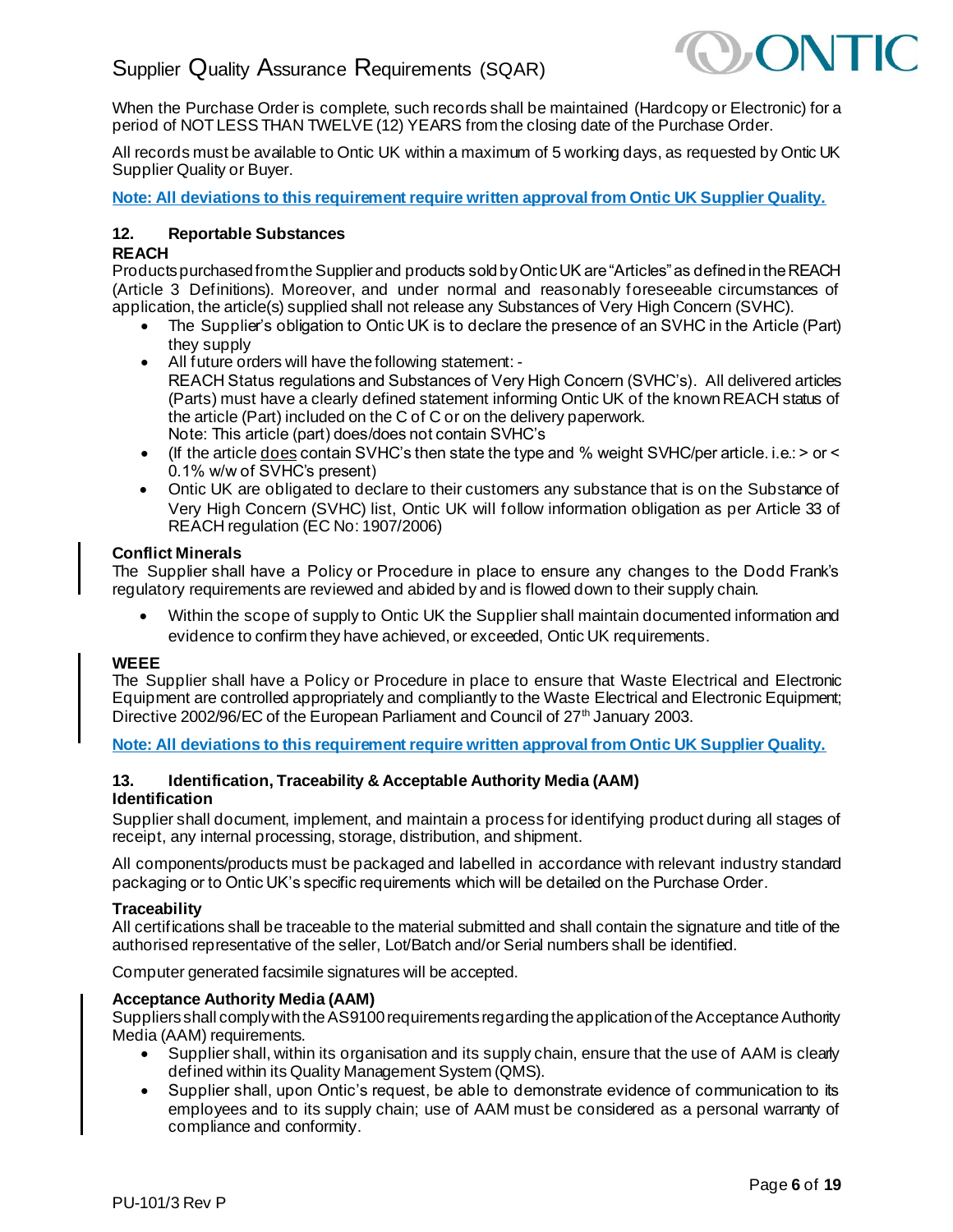

When the Purchase Order is complete, such records shall be maintained (Hardcopy or Electronic) for a period of NOT LESS THAN TWELVE (12) YEARS from the closing date of the Purchase Order.

All records must be available to Ontic UK within a maximum of 5 working days, as requested by Ontic UK Supplier Quality or Buyer.

<span id="page-5-0"></span>**Note: All deviations to this requirement require written approval from Ontic UK Supplier Quality.**

### **12. Reportable Substances**

### **REACH**

Products purchased from the Supplier and products sold by Ontic UK are "Articles" as defined in the REACH (Article 3 Definitions). Moreover, and under normal and reasonably foreseeable circumstances of application, the article(s) supplied shall not release any Substances of Very High Concern (SVHC).

- The Supplier's obligation to Ontic UK is to declare the presence of an SVHC in the Article (Part) they supply
- All future orders will have the following statement: REACH Status regulations and Substances of Very High Concern (SVHC's). All delivered articles (Parts) must have a clearly defined statement informing Ontic UK of the known REACH status of the article (Part) included on the C of C or on the delivery paperwork. Note: This article (part) does/does not contain SVHC's
- (If the article does contain SVHC's then state the type and % weight SVHC/per article. i.e.: > or < 0.1% w/w of SVHC's present)
- Ontic UK are obligated to declare to their customers any substance that is on the Substance of Very High Concern (SVHC) list, Ontic UK will follow information obligation as per Article 33 of REACH regulation (EC No: 1907/2006)

### **Conflict Minerals**

The Supplier shall have a Policy or Procedure in place to ensure any changes to the Dodd Frank's regulatory requirements are reviewed and abided by and is flowed down to their supply chain.

• Within the scope of supply to Ontic UK the Supplier shall maintain documented information and evidence to confirm they have achieved, or exceeded, Ontic UK requirements.

#### **WEEE**

The Supplier shall have a Policy or Procedure in place to ensure that Waste Electrical and Electronic Equipment are controlled appropriately and compliantly to the Waste Electrical and Electronic Equipment; Directive 2002/96/EC of the European Parliament and Council of 27<sup>th</sup> January 2003.

<span id="page-5-1"></span>**Note: All deviations to this requirement require written approval from Ontic UK Supplier Quality.**

# **13. Identification, Traceability & Acceptable Authority Media (AAM)**

#### **Identification**

Supplier shall document, implement, and maintain a process for identifying product during all stages of receipt, any internal processing, storage, distribution, and shipment.

All components/products must be packaged and labelled in accordance with relevant industry standard packaging or to Ontic UK's specific requirements which will be detailed on the Purchase Order.

#### **Traceability**

All certifications shall be traceable to the material submitted and shall contain the signature and title of the authorised representative of the seller, Lot/Batch and/or Serial numbers shall be identified.

Computer generated facsimile signatures will be accepted.

#### **Acceptance Authority Media (AAM)**

Suppliersshall comply with the AS9100 requirements regarding the application of the Acceptance Authority Media (AAM) requirements.

- Supplier shall, within its organisation and its supply chain, ensure that the use of AAM is clearly defined within its Quality Management System (QMS).
- Supplier shall, upon Ontic's request, be able to demonstrate evidence of communication to its employees and to its supply chain; use of AAM must be considered as a personal warranty of compliance and conformity.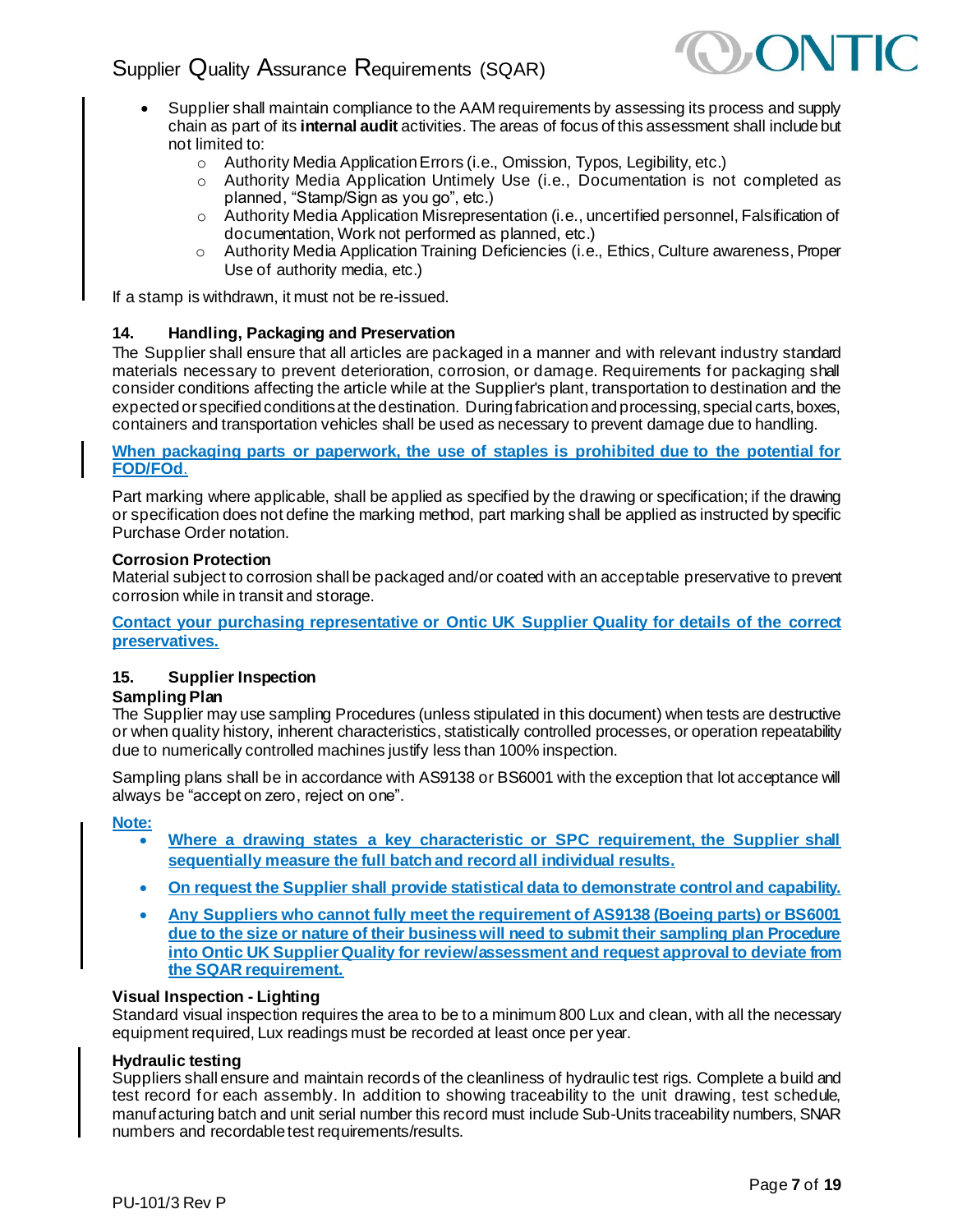

- Supplier shall maintain compliance to the AAM requirements by assessing its process and supply chain as part of its **internal audit** activities. The areas of focus of this assessment shall include but not limited to:
	- o Authority Media Application Errors (i.e., Omission, Typos, Legibility, etc.)
	- o Authority Media Application Untimely Use (i.e., Documentation is not completed as planned, "Stamp/Sign as you go", etc.)
	- o Authority Media Application Misrepresentation (i.e., uncertified personnel, Falsification of documentation, Work not performed as planned, etc.)
	- o Authority Media Application Training Deficiencies (i.e., Ethics, Culture awareness, Proper Use of authority media, etc.)

<span id="page-6-0"></span>If a stamp is withdrawn, it must not be re-issued.

### **14. Handling, Packaging and Preservation**

The Supplier shall ensure that all articles are packaged in a manner and with relevant industry standard materials necessary to prevent deterioration, corrosion, or damage. Requirements for packaging shall consider conditions affecting the article while at the Supplier's plant, transportation to destination and the expected or specified conditions at the destination. During fabrication and processing, special carts, boxes, containers and transportation vehicles shall be used as necessary to prevent damage due to handling.

**When packaging parts or paperwork, the use of staples is prohibited due to the potential for FOD/FOd**.

Part marking where applicable, shall be applied as specified by the drawing or specification; if the drawing or specification does not define the marking method, part marking shall be applied as instructed by specific Purchase Order notation.

#### **Corrosion Protection**

Material subject to corrosion shall be packaged and/or coated with an acceptable preservative to prevent corrosion while in transit and storage.

**Contact your purchasing representative or Ontic UK Supplier Quality for details of the correct preservatives.**

# <span id="page-6-1"></span>**15. Supplier Inspection**

#### **Sampling Plan**

The Supplier may use sampling Procedures (unless stipulated in this document) when tests are destructive or when quality history, inherent characteristics, statistically controlled processes, or operation repeatability due to numerically controlled machines justify less than 100% inspection.

Sampling plans shall be in accordance with AS9138 or BS6001 with the exception that lot acceptance will always be "accept on zero, reject on one".

**Note:** 

- **Where a drawing states a key characteristic or SPC requirement, the Supplier shall sequentially measure the full batch and record all individual results.**
- **On request the Supplier shall provide statistical data to demonstrate control and capability.**
- **Any Suppliers who cannot fully meet the requirement of AS9138 (Boeing parts) or BS6001 due to the size or nature of their business will need to submit their sampling plan Procedure into Ontic UK Supplier Quality for review/assessment and request approval to deviate from the SQAR requirement.**

#### **Visual Inspection - Lighting**

Standard visual inspection requires the area to be to a minimum 800 Lux and clean, with all the necessary equipment required, Lux readings must be recorded at least once per year.

#### **Hydraulic testing**

Suppliers shall ensure and maintain records of the cleanliness of hydraulic test rigs. Complete a build and test record for each assembly. In addition to showing traceability to the unit drawing, test schedule, manufacturing batch and unit serial number this record must include Sub-Units traceability numbers, SNAR numbers and recordable test requirements/results.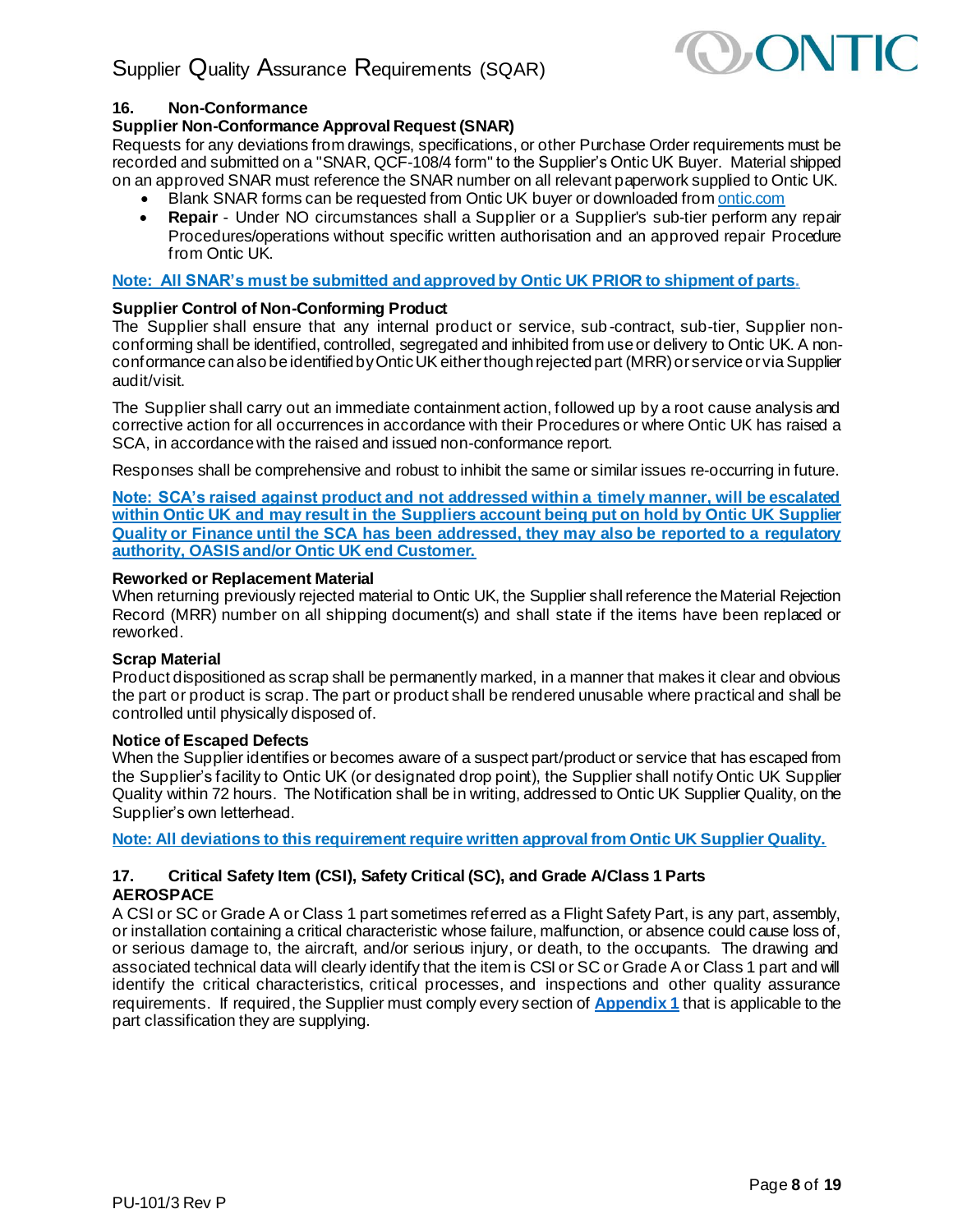

# <span id="page-7-0"></span>**16. Non-Conformance**

# **Supplier Non-Conformance Approval Request (SNAR)**

Requests for any deviations from drawings, specifications, or other Purchase Order requirements must be recorded and submitted on a "SNAR, QCF-108/4 form" to the Supplier's Ontic UK Buyer. Material shipped on an approved SNAR must reference the SNAR number on all relevant paperwork supplied to Ontic UK.

- Blank SNAR forms can be requested from Ontic UK buyer or downloaded from ontic.com
- **Repair** Under NO circumstances shall a Supplier or a Supplier's sub-tier perform any repair Procedures/operations without specific written authorisation and an approved repair Procedure from Ontic UK.

**Note: All SNAR's must be submitted and approved by Ontic UK PRIOR to shipment of parts.**

# **Supplier Control of Non-Conforming Product**

The Supplier shall ensure that any internal product or service, sub-contract, sub-tier, Supplier nonconforming shall be identified, controlled, segregated and inhibited from use or delivery to Ontic UK. A nonconformance can also be identified by Ontic UK either though rejected part (MRR) or service or via Supplier audit/visit.

The Supplier shall carry out an immediate containment action, followed up by a root cause analysis and corrective action for all occurrences in accordance with their Procedures or where Ontic UK has raised a SCA, in accordance with the raised and issued non-conformance report.

Responses shall be comprehensive and robust to inhibit the same or similar issues re-occurring in future.

**Note: SCA's raised against product and not addressed within a timely manner, will be escalated within Ontic UK and may result in the Suppliers account being put on hold by Ontic UK Supplier Quality or Finance until the SCA has been addressed, they may also be reported to a regulatory authority, OASIS and/or Ontic UK end Customer.**

#### **Reworked or Replacement Material**

When returning previously rejected material to Ontic UK, the Supplier shall reference the Material Rejection Record (MRR) number on all shipping document(s) and shall state if the items have been replaced or reworked.

#### **Scrap Material**

Product dispositioned as scrap shall be permanently marked, in a manner that makes it clear and obvious the part or product is scrap. The part or product shall be rendered unusable where practical and shall be controlled until physically disposed of.

#### **Notice of Escaped Defects**

When the Supplier identifies or becomes aware of a suspect part/product or service that has escaped from the Supplier's facility to Ontic UK (or designated drop point), the Supplier shall notify Ontic UK Supplier Quality within 72 hours. The Notification shall be in writing, addressed to Ontic UK Supplier Quality, on the Supplier's own letterhead.

<span id="page-7-1"></span>**Note: All deviations to this requirement require written approval from Ontic UK Supplier Quality.**

# **17. Critical Safety Item (CSI), Safety Critical (SC), and Grade A/Class 1 Parts AEROSPACE**

A CSI or SC or Grade A or Class 1 part sometimes referred as a Flight Safety Part, is any part, assembly, or installation containing a critical characteristic whose failure, malfunction, or absence could cause loss of, or serious damage to, the aircraft, and/or serious injury, or death, to the occupants. The drawing and associated technical data will clearly identify that the item is CSI or SC or Grade A or Class 1 part and will identify the critical characteristics, critical processes, and inspections and other quality assurance requirements. If required, the Supplier must comply every section of **[Appendix 1](#page-16-0)** that is applicable to the part classification they are supplying.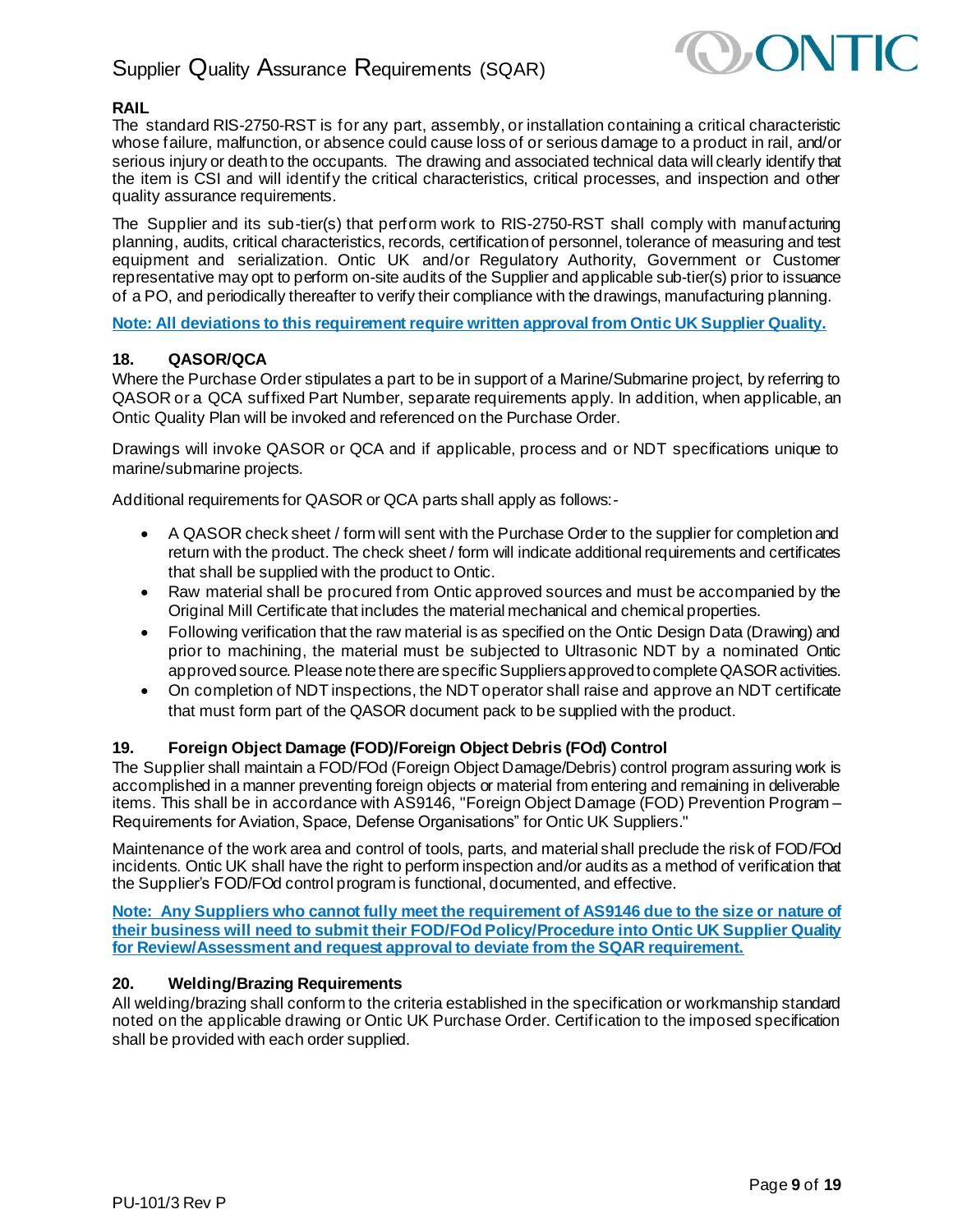

# **RAIL**

The standard RIS-2750-RST is for any part, assembly, or installation containing a critical characteristic whose failure, malfunction, or absence could cause loss of or serious damage to a product in rail, and/or serious injury or death to the occupants. The drawing and associated technical data will clearly identify that the item is CSI and will identify the critical characteristics, critical processes, and inspection and other quality assurance requirements.

The Supplier and its sub-tier(s) that perform work to RIS-2750-RST shall comply with manufacturing planning, audits, critical characteristics, records, certification of personnel, tolerance of measuring and test equipment and serialization. Ontic UK and/or Regulatory Authority, Government or Customer representative may opt to perform on-site audits of the Supplier and applicable sub-tier(s) prior to issuance of a PO, and periodically thereafter to verify their compliance with the drawings, manufacturing planning.

<span id="page-8-0"></span>**Note: All deviations to this requirement require written approval from Ontic UK Supplier Quality.**

### **18. QASOR/QCA**

Where the Purchase Order stipulates a part to be in support of a Marine/Submarine project, by referring to QASOR or a QCA suffixed Part Number, separate requirements apply. In addition, when applicable, an Ontic Quality Plan will be invoked and referenced on the Purchase Order.

Drawings will invoke QASOR or QCA and if applicable, process and or NDT specifications unique to marine/submarine projects.

Additional requirements for QASOR or QCA parts shall apply as follows:-

- A QASOR check sheet / form will sent with the Purchase Order to the supplier for completion and return with the product. The check sheet / form will indicate additional requirements and certificates that shall be supplied with the product to Ontic.
- Raw material shall be procured from Ontic approved sources and must be accompanied by the Original Mill Certificate that includes the material mechanical and chemical properties.
- Following verification that the raw material is as specified on the Ontic Design Data (Drawing) and prior to machining, the material must be subjected to Ultrasonic NDT by a nominated Ontic approved source. Please note there are specific Suppliers approved to complete QASOR activities.
- On completion of NDT inspections, the NDT operator shall raise and approve an NDT certificate that must form part of the QASOR document pack to be supplied with the product.

# <span id="page-8-1"></span>**19. Foreign Object Damage (FOD)/Foreign Object Debris (FOd) Control**

The Supplier shall maintain a FOD/FOd (Foreign Object Damage/Debris) control program assuring work is accomplished in a manner preventing foreign objects or material from entering and remaining in deliverable items. This shall be in accordance with AS9146, "Foreign Object Damage (FOD) Prevention Program – Requirements for Aviation, Space, Defense Organisations" for Ontic UK Suppliers."

Maintenance of the work area and control of tools, parts, and material shall preclude the risk of FOD/FOd incidents. Ontic UK shall have the right to perform inspection and/or audits as a method of verification that the Supplier's FOD/FOd control program is functional, documented, and effective.

**Note: Any Suppliers who cannot fully meet the requirement of AS9146 due to the size or nature of their business will need to submit their FOD/FOdPolicy/Procedure into Ontic UK Supplier Quality for Review/Assessment and request approval to deviate from the SQAR requirement.**

### <span id="page-8-2"></span>**20. Welding/Brazing Requirements**

All welding/brazing shall conform to the criteria established in the specification or workmanship standard noted on the applicable drawing or Ontic UK Purchase Order. Certification to the imposed specification shall be provided with each order supplied.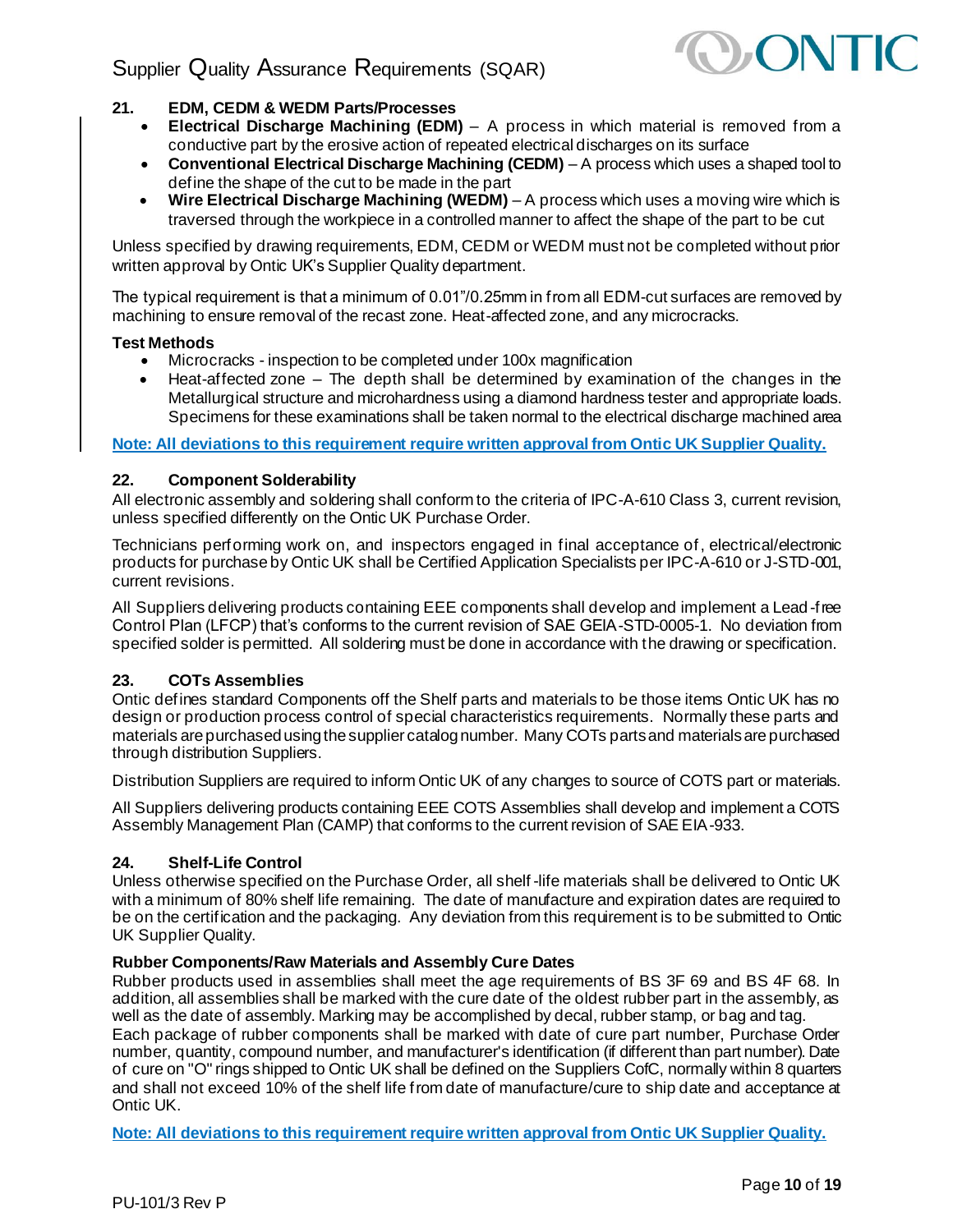

# <span id="page-9-0"></span>**21. EDM, CEDM & WEDM Parts/Processes**

- **Electrical Discharge Machining (EDM)** A process in which material is removed from a conductive part by the erosive action of repeated electrical discharges on its surface
- **Conventional Electrical Discharge Machining (CEDM)** A process which uses a shaped tool to define the shape of the cut to be made in the part
- **Wire Electrical Discharge Machining (WEDM)**  A process which uses a moving wire which is traversed through the workpiece in a controlled manner to affect the shape of the part to be cut

Unless specified by drawing requirements, EDM, CEDM or WEDM must not be completed without prior written approval by Ontic UK's Supplier Quality department.

The typical requirement is that a minimum of 0.01"/0.25mm in from all EDM-cut surfaces are removed by machining to ensure removal of the recast zone. Heat-affected zone, and any microcracks.

### **Test Methods**

- Microcracks inspection to be completed under 100x magnification
- Heat-affected zone The depth shall be determined by examination of the changes in the Metallurgical structure and microhardness using a diamond hardness tester and appropriate loads. Specimens for these examinations shall be taken normal to the electrical discharge machined area

<span id="page-9-1"></span>**Note: All deviations to this requirement require written approval from Ontic UK Supplier Quality.**

### **22. Component Solderability**

All electronic assembly and soldering shall conform to the criteria of IPC-A-610 Class 3, current revision, unless specified differently on the Ontic UK Purchase Order.

Technicians performing work on, and inspectors engaged in final acceptance of, electrical/electronic products for purchase by Ontic UK shall be Certified Application Specialists per IPC-A-610 or J-STD-001, current revisions.

All Suppliers delivering products containing EEE components shall develop and implement a Lead-free Control Plan (LFCP) that's conforms to the current revision of SAE GEIA-STD-0005-1. No deviation from specified solder is permitted. All soldering must be done in accordance with the drawing or specification.

# <span id="page-9-2"></span>**23. COTs Assemblies**

Ontic defines standard Components off the Shelf parts and materials to be those items Ontic UK has no design or production process control of special characteristics requirements. Normally these parts and materials are purchased using the supplier catalog number. Many COTs parts and materials are purchased through distribution Suppliers.

Distribution Suppliers are required to inform Ontic UK of any changes to source of COTS part or materials.

All Suppliers delivering products containing EEE COTS Assemblies shall develop and implement a COTS Assembly Management Plan (CAMP) that conforms to the current revision of SAE EIA-933.

#### <span id="page-9-3"></span>**24. Shelf-Life Control**

Unless otherwise specified on the Purchase Order, all shelf -life materials shall be delivered to Ontic UK with a minimum of 80% shelf life remaining. The date of manufacture and expiration dates are required to be on the certification and the packaging. Any deviation from this requirement is to be submitted to Ontic UK Supplier Quality.

#### **Rubber Components/Raw Materials and Assembly Cure Dates**

Rubber products used in assemblies shall meet the age requirements of BS 3F 69 and BS 4F 68. In addition, all assemblies shall be marked with the cure date of the oldest rubber part in the assembly, as well as the date of assembly. Marking may be accomplished by decal, rubber stamp, or bag and tag.

Each package of rubber components shall be marked with date of cure part number, Purchase Order number, quantity, compound number, and manufacturer's identification (if different than part number). Date of cure on "O" rings shipped to Ontic UK shall be defined on the Suppliers CofC, normally within 8 quarters and shall not exceed 10% of the shelf life from date of manufacture/cure to ship date and acceptance at Ontic UK.

**Note: All deviations to this requirement require written approval from Ontic UK Supplier Quality.**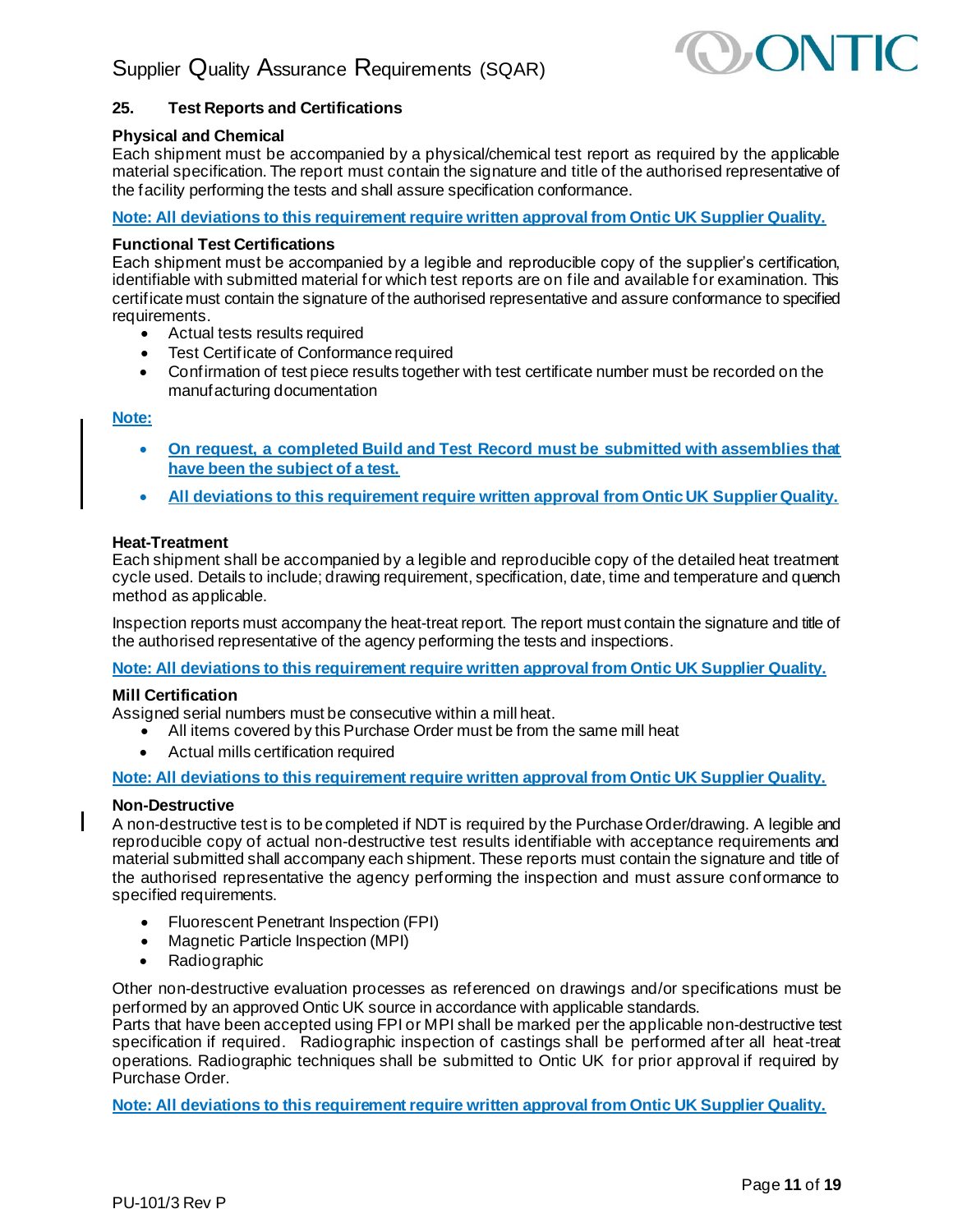

# <span id="page-10-0"></span>**25. Test Reports and Certifications**

#### **Physical and Chemical**

Each shipment must be accompanied by a physical/chemical test report as required by the applicable material specification. The report must contain the signature and title of the authorised representative of the facility performing the tests and shall assure specification conformance.

#### **Note: All deviations to this requirement require written approval from Ontic UK Supplier Quality.**

#### **Functional Test Certifications**

Each shipment must be accompanied by a legible and reproducible copy of the supplier's certification, identifiable with submitted material for which test reports are on file and available for examination. This certificate must contain the signature of the authorised representative and assure conformance to specified requirements.

- Actual tests results required
- Test Certificate of Conformance required
- Confirmation of test piece results together with test certificate number must be recorded on the manufacturing documentation

#### **Note:**

- **On request, a completed Build and Test Record must be submitted with assemblies that have been the subject of a test.**
- **All deviations to this requirement require written approval from Ontic UK Supplier Quality.**

#### **Heat-Treatment**

Each shipment shall be accompanied by a legible and reproducible copy of the detailed heat treatment cycle used. Details to include; drawing requirement, specification, date, time and temperature and quench method as applicable.

Inspection reports must accompany the heat-treat report. The report must contain the signature and title of the authorised representative of the agency performing the tests and inspections.

**Note: All deviations to this requirement require written approval from Ontic UK Supplier Quality.**

#### **Mill Certification**

Assigned serial numbers must be consecutive within a mill heat.

- All items covered by this Purchase Order must be from the same mill heat
- Actual mills certification required

**Note: All deviations to this requirement require written approval from Ontic UK Supplier Quality.**

#### **Non-Destructive**

A non-destructive test is to be completed if NDT is required by the Purchase Order/drawing. A legible and reproducible copy of actual non-destructive test results identifiable with acceptance requirements and material submitted shall accompany each shipment. These reports must contain the signature and title of the authorised representative the agency performing the inspection and must assure conformance to specified requirements.

- Fluorescent Penetrant Inspection (FPI)
- Magnetic Particle Inspection (MPI)
- Radiographic

Other non-destructive evaluation processes as referenced on drawings and/or specifications must be performed by an approved Ontic UK source in accordance with applicable standards.

Parts that have been accepted using FPI or MPI shall be marked per the applicable non-destructive test specification if required. Radiographic inspection of castings shall be performed after all heat-treat operations. Radiographic techniques shall be submitted to Ontic UK for prior approval if required by Purchase Order.

**Note: All deviations to this requirement require written approval from Ontic UK Supplier Quality.**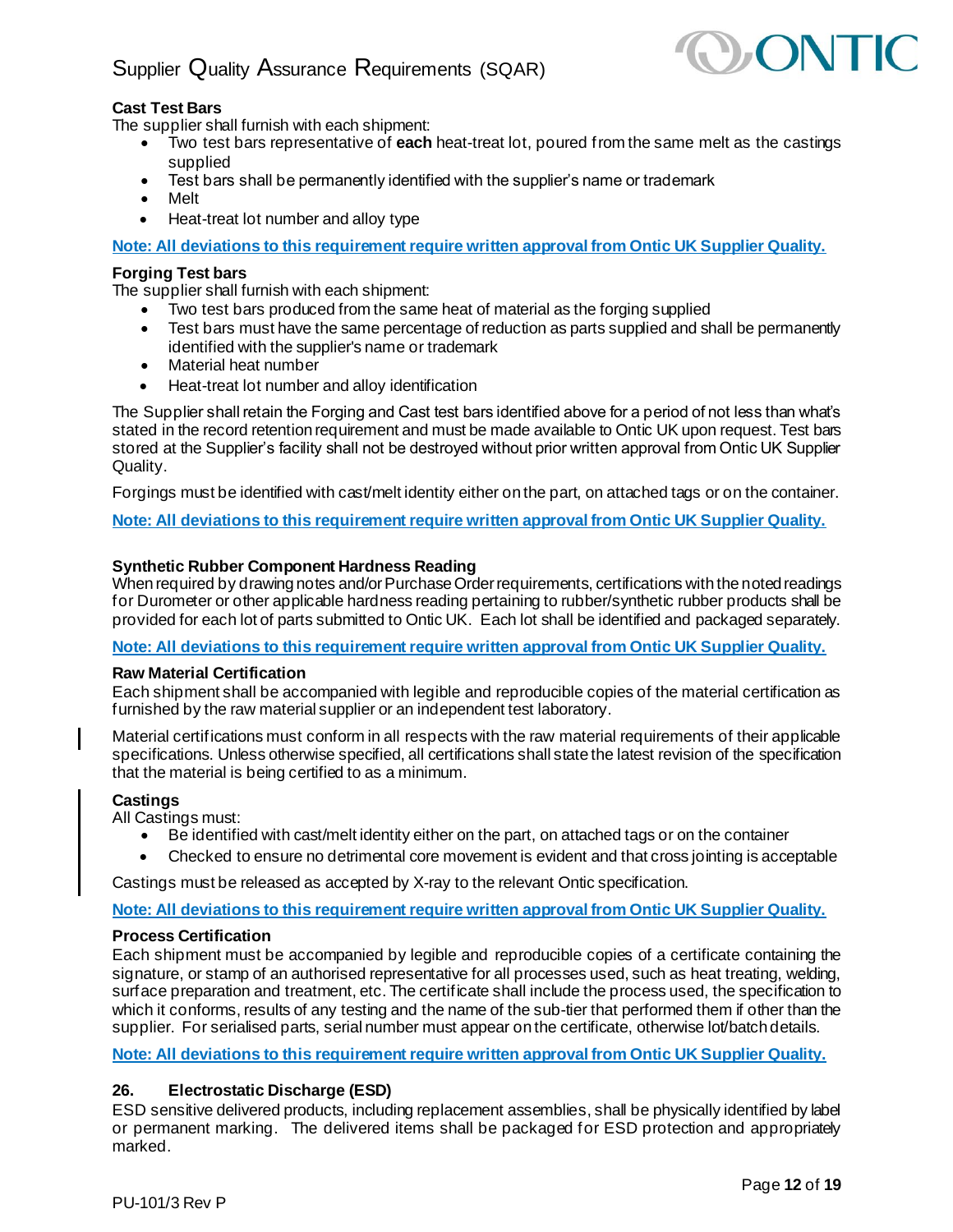

# **Cast Test Bars**

The supplier shall furnish with each shipment:

- Two test bars representative of **each** heat-treat lot, poured from the same melt as the castings supplied
- Test bars shall be permanently identified with the supplier's name or trademark
- Melt
- Heat-treat lot number and alloy type

**Note: All deviations to this requirement require written approval from Ontic UK Supplier Quality.**

#### **Forging Test bars**

The supplier shall furnish with each shipment:

- Two test bars produced from the same heat of material as the forging supplied
- Test bars must have the same percentage of reduction as parts supplied and shall be permanently identified with the supplier's name or trademark
- Material heat number
- Heat-treat lot number and alloy identification

The Supplier shall retain the Forging and Cast test bars identified above for a period of not less than what's stated in the record retention requirement and must be made available to Ontic UK upon request. Test bars stored at the Supplier's facility shall not be destroyed without prior written approval from Ontic UK Supplier Quality.

Forgings must be identified with cast/melt identity either on the part, on attached tags or on the container.

**Note: All deviations to this requirement require written approval from Ontic UK Supplier Quality.**

#### **Synthetic Rubber Component Hardness Reading**

When required by drawing notes and/or Purchase Order requirements, certifications with the noted readings for Durometer or other applicable hardness reading pertaining to rubber/synthetic rubber products shall be provided for each lot of parts submitted to Ontic UK. Each lot shall be identified and packaged separately.

**Note: All deviations to this requirement require written approval from Ontic UK Supplier Quality.**

#### **Raw Material Certification**

Each shipment shall be accompanied with legible and reproducible copies of the material certification as furnished by the raw material supplier or an independent test laboratory.

Material certifications must conform in all respects with the raw material requirements of their applicable specifications. Unless otherwise specified, all certifications shall state the latest revision of the specification that the material is being certified to as a minimum.

#### **Castings**

All Castings must:

- Be identified with cast/melt identity either on the part, on attached tags or on the container
- Checked to ensure no detrimental core movement is evident and that cross jointing is acceptable

Castings must be released as accepted by X-ray to the relevant Ontic specification.

#### **Note: All deviations to this requirement require written approval from Ontic UK Supplier Quality.**

#### **Process Certification**

Each shipment must be accompanied by legible and reproducible copies of a certificate containing the signature, or stamp of an authorised representative for all processes used, such as heat treating, welding, surface preparation and treatment, etc. The certificate shall include the process used, the specification to which it conforms, results of any testing and the name of the sub-tier that performed them if other than the supplier. For serialised parts, serial number must appear on the certificate, otherwise lot/batch details.

<span id="page-11-0"></span>**Note: All deviations to this requirement require written approval from Ontic UK Supplier Quality.**

#### **26. Electrostatic Discharge (ESD)**

ESD sensitive delivered products, including replacement assemblies, shall be physically identified by label or permanent marking. The delivered items shall be packaged for ESD protection and appropriately marked.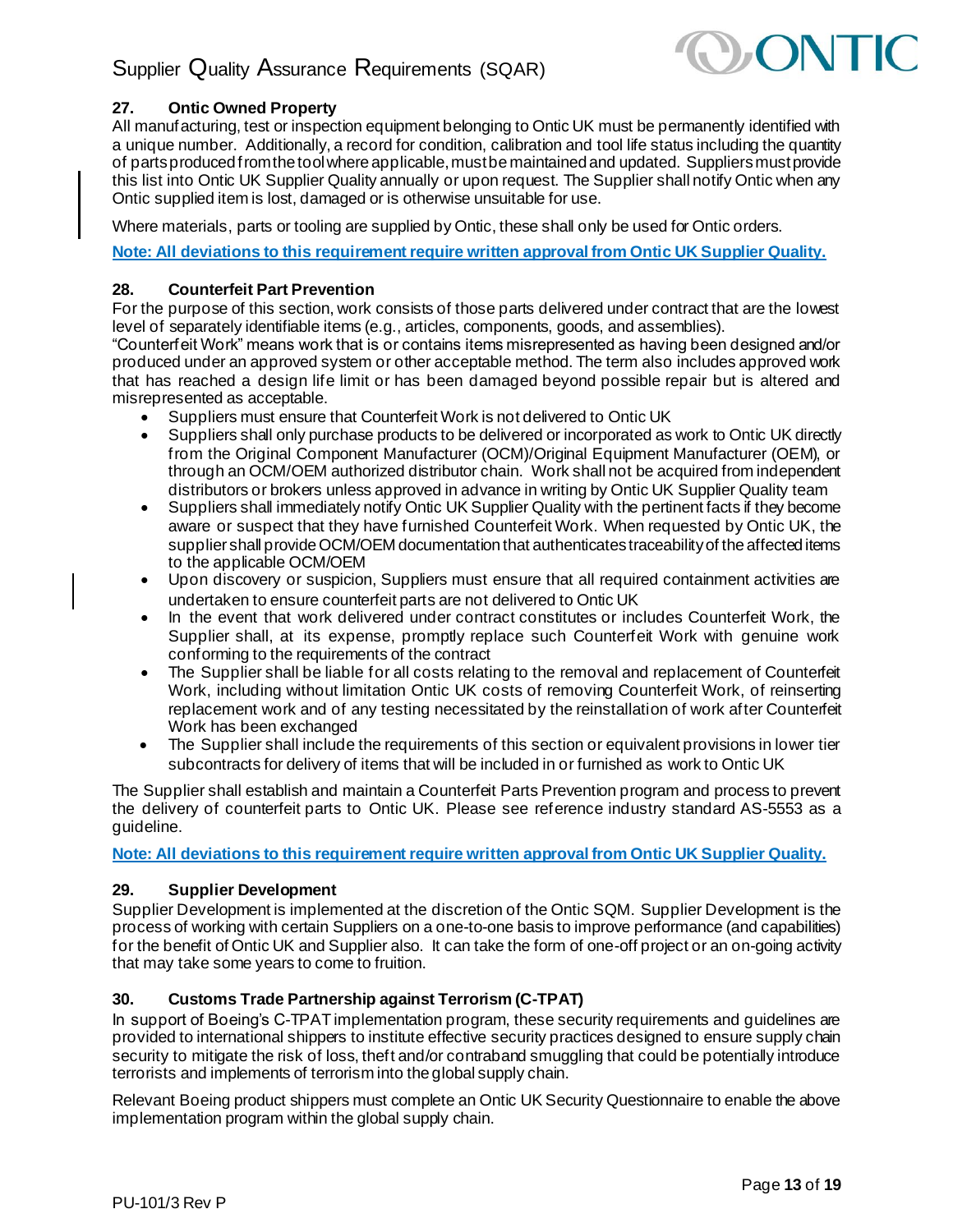

# <span id="page-12-0"></span>**27. Ontic Owned Property**

All manufacturing, test or inspection equipment belonging to Ontic UK must be permanently identified with a unique number. Additionally, a record for condition, calibration and tool life status including the quantity of parts produced from the tool where applicable, must be maintained and updated. Suppliers must provide this list into Ontic UK Supplier Quality annually or upon request. The Supplier shall notify Ontic when any Ontic supplied item is lost, damaged or is otherwise unsuitable for use.

Where materials, parts or tooling are supplied by Ontic, these shall only be used for Ontic orders.

<span id="page-12-1"></span>**Note: All deviations to this requirement require written approval from Ontic UK Supplier Quality.**

### **28. Counterfeit Part Prevention**

For the purpose of this section, work consists of those parts delivered under contract that are the lowest level of separately identifiable items (e.g., articles, components, goods, and assemblies).

"Counterfeit Work" means work that is or contains items misrepresented as having been designed and/or produced under an approved system or other acceptable method. The term also includes approved work that has reached a design life limit or has been damaged beyond possible repair but is altered and misrepresented as acceptable.

- Suppliers must ensure that Counterfeit Work is not delivered to Ontic UK
- Suppliers shall only purchase products to be delivered or incorporated as work to Ontic UK directly from the Original Component Manufacturer (OCM)/Original Equipment Manufacturer (OEM), or through an OCM/OEM authorized distributor chain. Work shall not be acquired from independent distributors or brokers unless approved in advance in writing by Ontic UK Supplier Quality team
- Suppliers shall immediately notify Ontic UK Supplier Quality with the pertinent facts if they become aware or suspect that they have furnished Counterfeit Work. When requested by Ontic UK, the supplier shall provide OCM/OEM documentation that authenticates traceability of the affected items to the applicable OCM/OEM
- Upon discovery or suspicion, Suppliers must ensure that all required containment activities are undertaken to ensure counterfeit parts are not delivered to Ontic UK
- In the event that work delivered under contract constitutes or includes Counterfeit Work, the Supplier shall, at its expense, promptly replace such Counterfeit Work with genuine work conforming to the requirements of the contract
- The Supplier shall be liable for all costs relating to the removal and replacement of Counterfeit Work, including without limitation Ontic UK costs of removing Counterfeit Work, of reinserting replacement work and of any testing necessitated by the reinstallation of work after Counterfeit Work has been exchanged
- The Supplier shall include the requirements of this section or equivalent provisions in lower tier subcontracts for delivery of items that will be included in or furnished as work to Ontic UK

The Supplier shall establish and maintain a Counterfeit Parts Prevention program and process to prevent the delivery of counterfeit parts to Ontic UK. Please see reference industry standard AS-5553 as a guideline.

<span id="page-12-2"></span>**Note: All deviations to this requirement require written approval from Ontic UK Supplier Quality.**

# **29. Supplier Development**

Supplier Development is implemented at the discretion of the Ontic SQM. Supplier Development is the process of working with certain Suppliers on a one-to-one basis to improve performance (and capabilities) for the benefit of Ontic UK and Supplier also. It can take the form of one-off project or an on-going activity that may take some years to come to fruition.

# <span id="page-12-3"></span>**30. Customs Trade Partnership against Terrorism (C-TPAT)**

In support of Boeing's C-TPAT implementation program, these security requirements and guidelines are provided to international shippers to institute effective security practices designed to ensure supply chain security to mitigate the risk of loss, theft and/or contraband smuggling that could be potentially introduce terrorists and implements of terrorism into the global supply chain.

Relevant Boeing product shippers must complete an Ontic UK Security Questionnaire to enable the above implementation program within the global supply chain.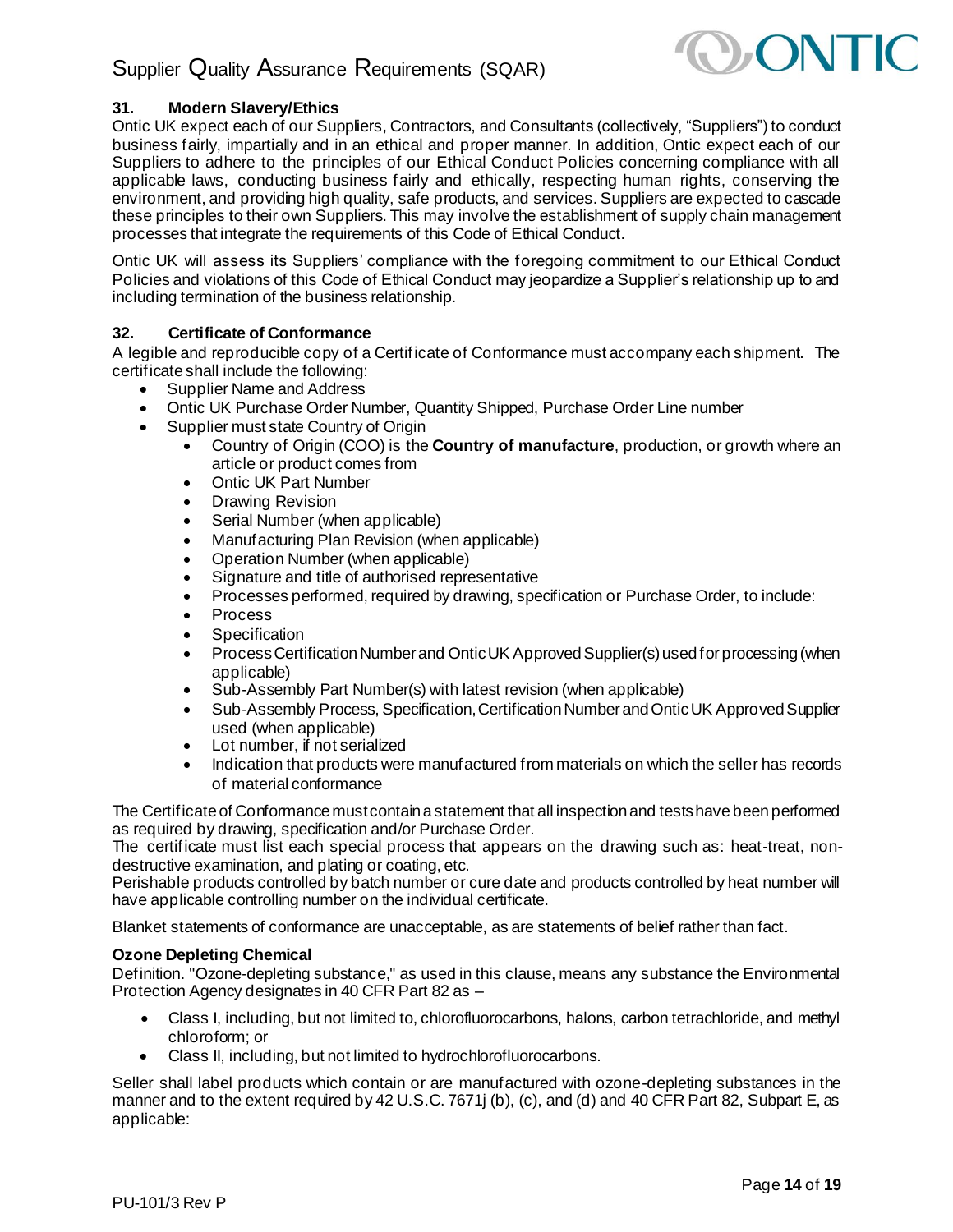

# <span id="page-13-0"></span>**31. Modern Slavery/Ethics**

Ontic UK expect each of our Suppliers, Contractors, and Consultants (collectively, "Suppliers") to conduct business fairly, impartially and in an ethical and proper manner. In addition, Ontic expect each of our Suppliers to adhere to the principles of our Ethical Conduct Policies concerning compliance with all applicable laws, conducting business fairly and ethically, respecting human rights, conserving the environment, and providing high quality, safe products, and services. Suppliers are expected to cascade these principles to their own Suppliers. This may involve the establishment of supply chain management processes that integrate the requirements of this Code of Ethical Conduct.

Ontic UK will assess its Suppliers' compliance with the foregoing commitment to our Ethical Conduct Policies and violations of this Code of Ethical Conduct may jeopardize a Supplier's relationship up to and including termination of the business relationship.

# <span id="page-13-1"></span>**32. Certificate of Conformance**

A legible and reproducible copy of a Certificate of Conformance must accompany each shipment. The certificate shall include the following:

- Supplier Name and Address
- Ontic UK Purchase Order Number, Quantity Shipped, Purchase Order Line number
- Supplier must state Country of Origin
	- Country of Origin (COO) is the **Country of manufacture**, production, or growth where an article or product comes from
	- Ontic UK Part Number
	- Drawing Revision
	- Serial Number (when applicable)
	- Manufacturing Plan Revision (when applicable)
	- Operation Number (when applicable)
	- Signature and title of authorised representative
	- Processes performed, required by drawing, specification or Purchase Order, to include:
	- **Process**
	- **Specification**
	- Process Certification Number and Ontic UK Approved Supplier(s) used for processing (when applicable)
	- Sub-Assembly Part Number(s) with latest revision (when applicable)
	- Sub-Assembly Process, Specification, Certification Number and Ontic UK Approved Supplier used (when applicable)
	- Lot number, if not serialized
	- Indication that products were manufactured from materials on which the seller has records of material conformance

The Certificate of Conformance must contain a statement that all inspection and tests have been performed as required by drawing, specification and/or Purchase Order.

The certificate must list each special process that appears on the drawing such as: heat-treat, nondestructive examination, and plating or coating, etc.

Perishable products controlled by batch number or cure date and products controlled by heat number will have applicable controlling number on the individual certificate.

Blanket statements of conformance are unacceptable, as are statements of belief rather than fact.

#### **Ozone Depleting Chemical**

Definition. "Ozone-depleting substance," as used in this clause, means any substance the Environmental Protection Agency designates in 40 CFR Part 82 as –

- Class I, including, but not limited to, chlorofluorocarbons, halons, carbon tetrachloride, and methyl chloroform; or
- Class II, including, but not limited to hydrochlorofluorocarbons.

Seller shall label products which contain or are manufactured with ozone-depleting substances in the manner and to the extent required by 42 U.S.C. 7671j (b), (c), and (d) and 40 CFR Part 82, Subpart E, as applicable: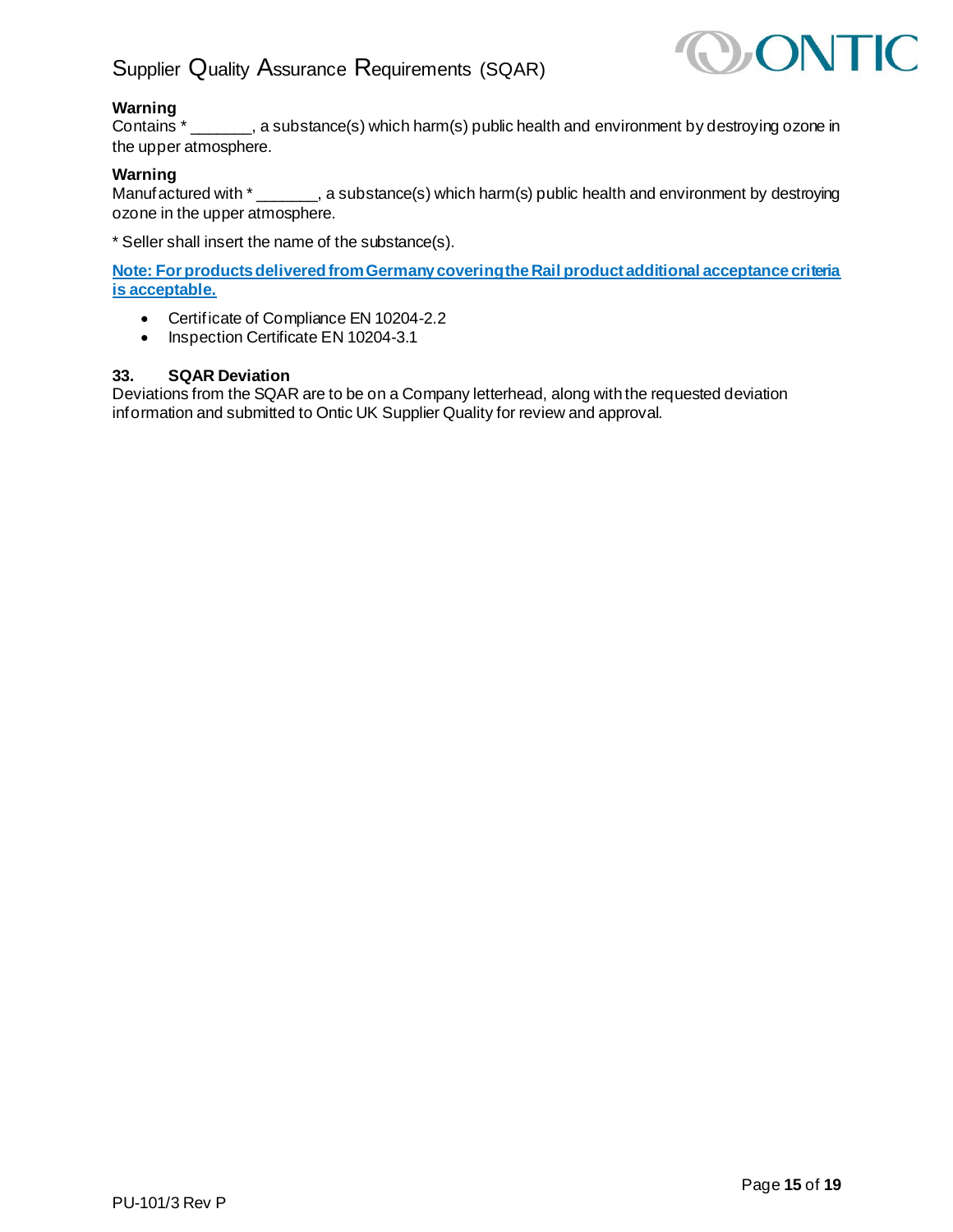

# **Warning**

Contains \* \_\_\_\_\_\_\_, a substance(s) which harm(s) public health and environment by destroying ozone in the upper atmosphere.

### **Warning**

Manufactured with  $*$  \_\_\_\_\_\_, a substance(s) which harm(s) public health and environment by destroying ozone in the upper atmosphere.

\* Seller shall insert the name of the substance(s).

**Note: For products delivered from Germany covering the Rail product additional acceptance criteria is acceptable.**

- Certificate of Compliance EN 10204-2.2
- Inspection Certificate EN 10204-3.1

### <span id="page-14-0"></span>**33. SQAR Deviation**

Deviations from the SQAR are to be on a Company letterhead, along with the requested deviation information and submitted to Ontic UK Supplier Quality for review and approval.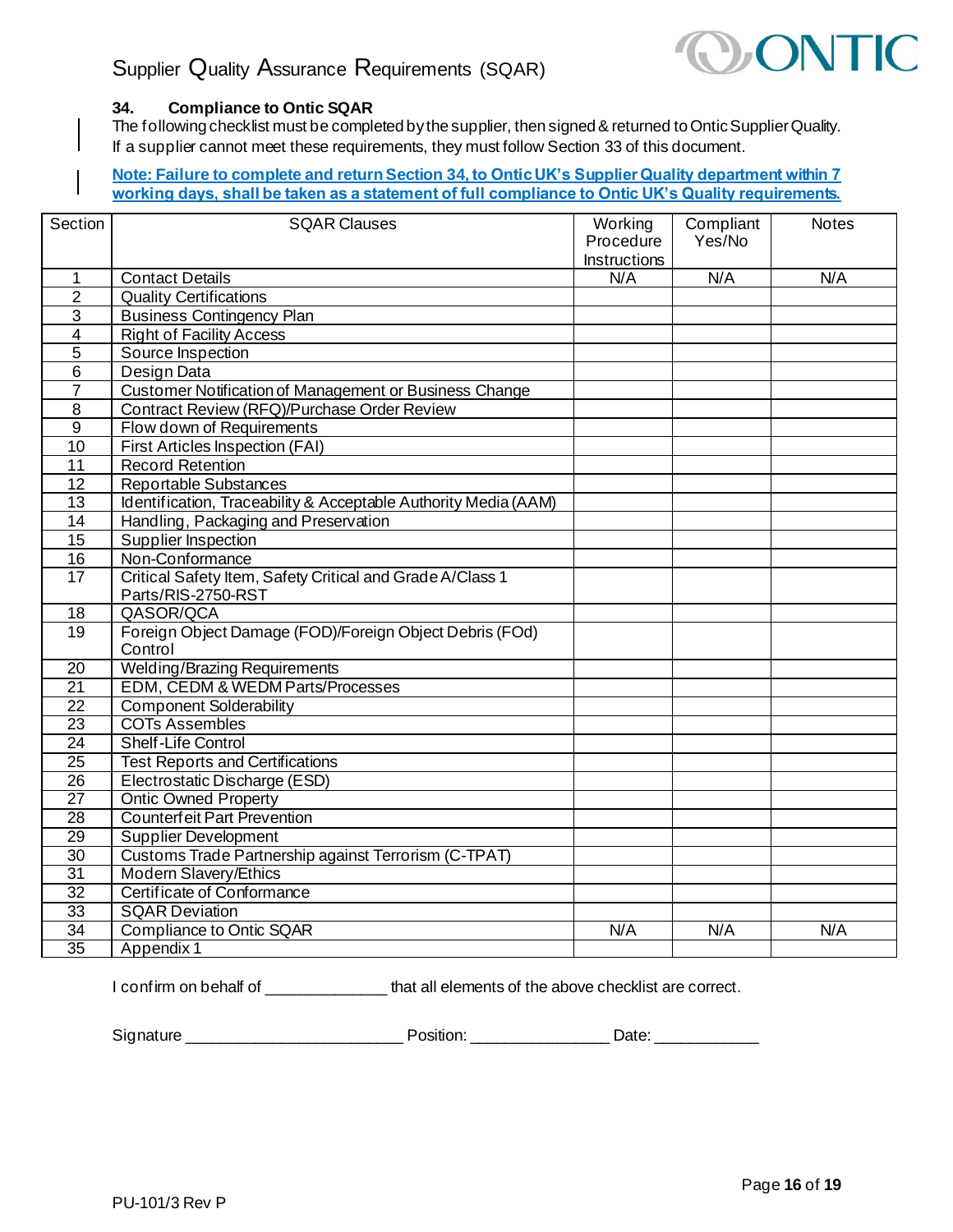

# <span id="page-15-0"></span>**34. Compliance to Ontic SQAR**

The following checklist must be completed by the supplier, then signed & returned to Ontic Supplier Quality. If a supplier cannot meet these requirements, they must follow Section 33 of this document.

**Note: Failure to complete and return Section 34, to Ontic UK's Supplier Quality department within 7 working days, shall be taken as a statement of full compliance to Ontic UK's Quality requirements.**

| Section         | <b>SQAR Clauses</b>                                                | Working<br>Procedure<br>Instructions | Compliant<br>Yes/No | <b>Notes</b> |
|-----------------|--------------------------------------------------------------------|--------------------------------------|---------------------|--------------|
| $\mathbf{1}$    | <b>Contact Details</b>                                             | N/A                                  | N/A                 | N/A          |
| $\overline{2}$  | <b>Quality Certifications</b>                                      |                                      |                     |              |
| $\sqrt{3}$      | <b>Business Contingency Plan</b>                                   |                                      |                     |              |
| 4               | <b>Right of Facility Access</b>                                    |                                      |                     |              |
| $\overline{5}$  | Source Inspection                                                  |                                      |                     |              |
| $\overline{6}$  | Design Data                                                        |                                      |                     |              |
| $\overline{7}$  | Customer Notification of Management or Business Change             |                                      |                     |              |
| $\overline{8}$  | Contract Review (RFQ)/Purchase Order Review                        |                                      |                     |              |
| $\overline{9}$  | Flow down of Requirements                                          |                                      |                     |              |
| 10              | First Articles Inspection (FAI)                                    |                                      |                     |              |
| 11              | <b>Record Retention</b>                                            |                                      |                     |              |
| 12              | Reportable Substances                                              |                                      |                     |              |
| $\overline{13}$ | Identification, Traceability & Acceptable Authority Media (AAM)    |                                      |                     |              |
| $\overline{14}$ | Handling, Packaging and Preservation                               |                                      |                     |              |
| $\overline{15}$ | Supplier Inspection                                                |                                      |                     |              |
| 16              | Non-Conformance                                                    |                                      |                     |              |
| $\overline{17}$ | Critical Safety Item, Safety Critical and Grade A/Class 1          |                                      |                     |              |
|                 | Parts/RIS-2750-RST                                                 |                                      |                     |              |
| 18              | QASOR/QCA                                                          |                                      |                     |              |
| $\overline{19}$ | Foreign Object Damage (FOD)/Foreign Object Debris (FOd)<br>Control |                                      |                     |              |
| 20              | <b>Welding/Brazing Requirements</b>                                |                                      |                     |              |
| $\overline{21}$ | EDM, CEDM & WEDM Parts/Processes                                   |                                      |                     |              |
| $\overline{22}$ | <b>Component Solderability</b>                                     |                                      |                     |              |
| 23              | <b>COTs Assembles</b>                                              |                                      |                     |              |
| 24              | Shelf-Life Control                                                 |                                      |                     |              |
| $\overline{25}$ | <b>Test Reports and Certifications</b>                             |                                      |                     |              |
| $\overline{26}$ | Electrostatic Discharge (ESD)                                      |                                      |                     |              |
| $\overline{27}$ | <b>Ontic Owned Property</b>                                        |                                      |                     |              |
| 28              | <b>Counterfeit Part Prevention</b>                                 |                                      |                     |              |
| 29              | <b>Supplier Development</b>                                        |                                      |                     |              |
| 30              | Customs Trade Partnership against Terrorism (C-TPAT)               |                                      |                     |              |
| $\overline{31}$ | <b>Modern Slavery/Ethics</b>                                       |                                      |                     |              |
| $\overline{32}$ | Certificate of Conformance                                         |                                      |                     |              |
| 33              | <b>SQAR Deviation</b>                                              |                                      |                     |              |
| $\overline{34}$ | <b>Compliance to Ontic SQAR</b>                                    | N/A                                  | N/A                 | N/A          |
| $\overline{35}$ | Appendix 1                                                         |                                      |                     |              |

I confirm on behalf of \_\_\_\_\_\_\_\_\_\_\_\_\_\_\_\_\_\_that all elements of the above checklist are correct.

Signature \_\_\_\_\_\_\_\_\_\_\_\_\_\_\_\_\_\_\_\_\_\_\_\_\_ Position: \_\_\_\_\_\_\_\_\_\_\_\_\_\_\_\_ Date: \_\_\_\_\_\_\_\_\_\_\_\_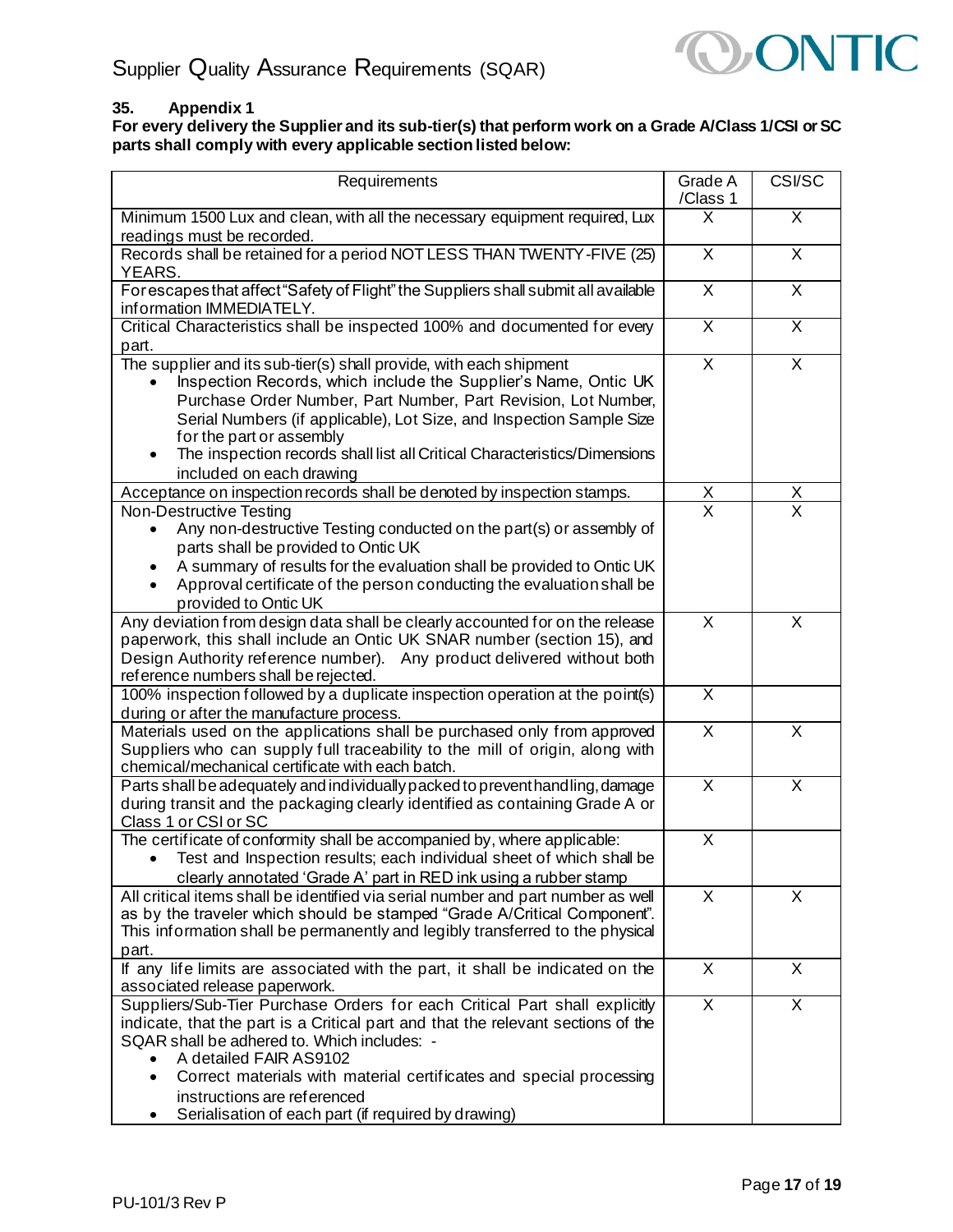

# <span id="page-16-0"></span>**35. Appendix 1**

**For every delivery the Supplier and its sub-tier(s) that perform work on a Grade A/Class 1/CSI or SC parts shall comply with every applicable section listed below:**

| Requirements                                                                                                                                                                                                                                                                                                                                                                                                                      |                                 | CSI/SC                  |
|-----------------------------------------------------------------------------------------------------------------------------------------------------------------------------------------------------------------------------------------------------------------------------------------------------------------------------------------------------------------------------------------------------------------------------------|---------------------------------|-------------------------|
| Minimum 1500 Lux and clean, with all the necessary equipment required, Lux<br>readings must be recorded.                                                                                                                                                                                                                                                                                                                          |                                 | $\overline{\mathsf{X}}$ |
| Records shall be retained for a period NOT LESS THAN TWENTY-FIVE (25)<br>YEARS.                                                                                                                                                                                                                                                                                                                                                   | X                               | X                       |
| For escapes that affect "Safety of Flight" the Suppliers shall submit all available<br>information IMMEDIATELY.                                                                                                                                                                                                                                                                                                                   |                                 | X                       |
| Critical Characteristics shall be inspected 100% and documented for every<br>part.                                                                                                                                                                                                                                                                                                                                                | $\overline{\mathsf{x}}$         | $\overline{\mathsf{x}}$ |
| The supplier and its sub-tier(s) shall provide, with each shipment<br>Inspection Records, which include the Supplier's Name, Ontic UK<br>Purchase Order Number, Part Number, Part Revision, Lot Number,<br>Serial Numbers (if applicable), Lot Size, and Inspection Sample Size<br>for the part or assembly<br>The inspection records shall list all Critical Characteristics/Dimensions<br>$\bullet$<br>included on each drawing | $\overline{\mathsf{x}}$         | $\overline{\mathsf{x}}$ |
| Acceptance on inspection records shall be denoted by inspection stamps.                                                                                                                                                                                                                                                                                                                                                           | $\frac{\mathsf{X}}{\mathsf{X}}$ | <u>Х</u>                |
| Non-Destructive Testing<br>Any non-destructive Testing conducted on the part(s) or assembly of<br>parts shall be provided to Ontic UK<br>A summary of results for the evaluation shall be provided to Ontic UK<br>Approval certificate of the person conducting the evaluation shall be<br>$\bullet$<br>provided to Ontic UK                                                                                                      |                                 | $\overline{\mathsf{x}}$ |
| Any deviation from design data shall be clearly accounted for on the release<br>paperwork, this shall include an Ontic UK SNAR number (section 15), and<br>Design Authority reference number). Any product delivered without both<br>reference numbers shall be rejected.                                                                                                                                                         | X                               | X                       |
| 100% inspection followed by a duplicate inspection operation at the point(s)<br>during or after the manufacture process.                                                                                                                                                                                                                                                                                                          | $\overline{\mathsf{x}}$         |                         |
| Materials used on the applications shall be purchased only from approved<br>Suppliers who can supply full traceability to the mill of origin, along with<br>chemical/mechanical certificate with each batch.                                                                                                                                                                                                                      | X                               | X                       |
| Parts shall be adequately and individually packed to prevent handling, damage<br>during transit and the packaging clearly identified as containing Grade A or<br>Class 1 or CSI or SC                                                                                                                                                                                                                                             | $\overline{\mathsf{x}}$         | $\overline{\mathsf{x}}$ |
| The certificate of conformity shall be accompanied by, where applicable:<br>Test and Inspection results; each individual sheet of which shall be<br>clearly annotated 'Grade A' part in RED ink using a rubber stamp                                                                                                                                                                                                              | X                               |                         |
| All critical items shall be identified via serial number and part number as well<br>as by the traveler which should be stamped "Grade A/Critical Component".<br>This information shall be permanently and legibly transferred to the physical<br>part.                                                                                                                                                                            | $\overline{\mathsf{x}}$         | X                       |
| If any life limits are associated with the part, it shall be indicated on the<br>associated release paperwork.                                                                                                                                                                                                                                                                                                                    | X                               | X                       |
| Suppliers/Sub-Tier Purchase Orders for each Critical Part shall explicitly<br>indicate, that the part is a Critical part and that the relevant sections of the<br>SQAR shall be adhered to. Which includes: -<br>A detailed FAIR AS9102<br>Correct materials with material certificates and special processing<br>instructions are referenced<br>Serialisation of each part (if required by drawing)<br>٠                         | $\overline{\mathsf{X}}$         | $\overline{\mathsf{x}}$ |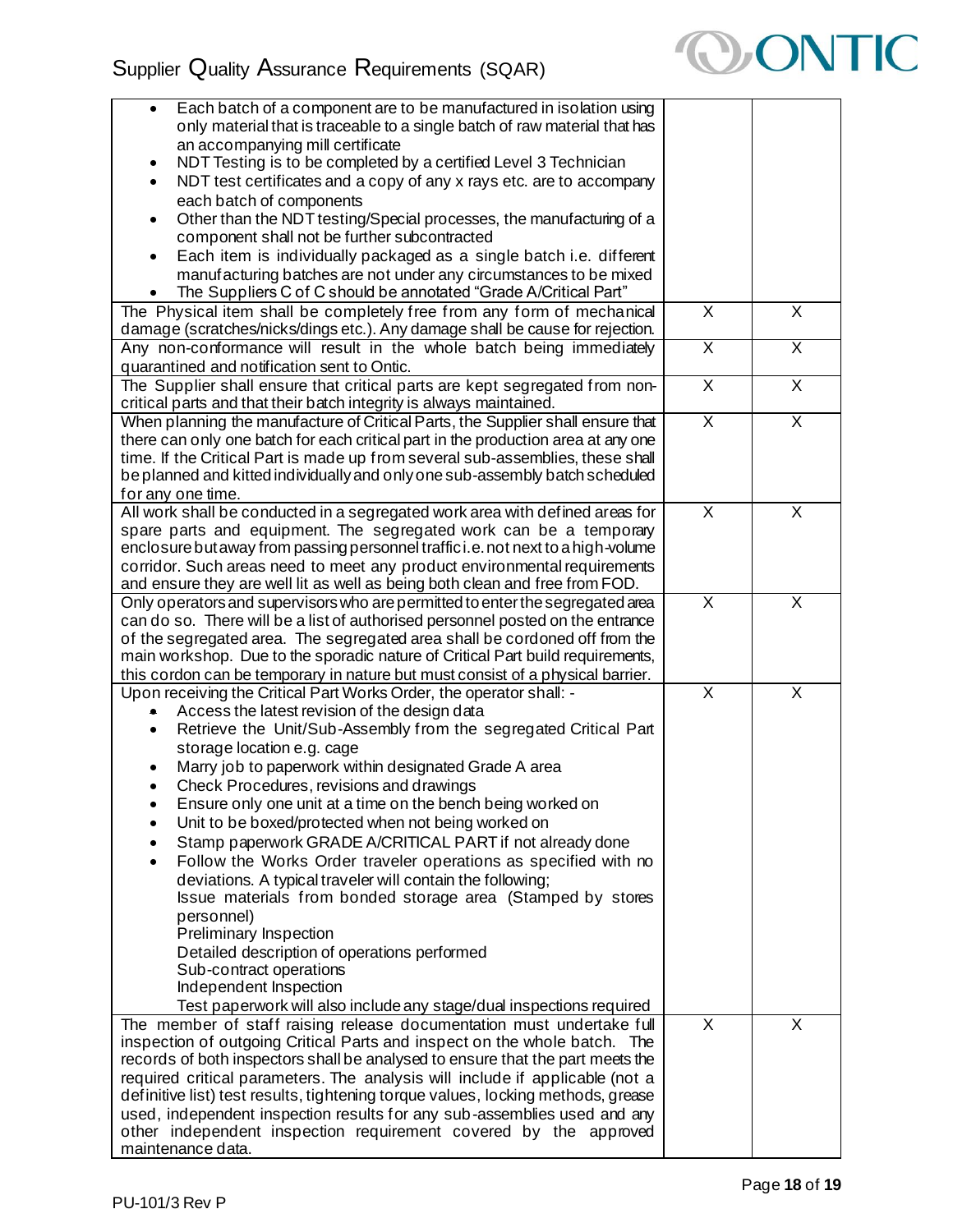

| Each batch of a component are to be manufactured in isolation using<br>only material that is traceable to a single batch of raw material that has                |                         |                         |
|------------------------------------------------------------------------------------------------------------------------------------------------------------------|-------------------------|-------------------------|
| an accompanying mill certificate<br>NDT Testing is to be completed by a certified Level 3 Technician                                                             |                         |                         |
| NDT test certificates and a copy of any x rays etc. are to accompany<br>$\bullet$<br>each batch of components                                                    |                         |                         |
| Other than the NDT testing/Special processes, the manufacturing of a<br>$\bullet$                                                                                |                         |                         |
| component shall not be further subcontracted<br>Each item is individually packaged as a single batch i.e. different<br>$\bullet$                                 |                         |                         |
| manufacturing batches are not under any circumstances to be mixed<br>The Suppliers C of C should be annotated "Grade A/Critical Part"                            |                         |                         |
| The Physical item shall be completely free from any form of mechanical<br>damage (scratches/nicks/dings etc.). Any damage shall be cause for rejection.          | $\mathsf{X}$            | X                       |
| Any non-conformance will result in the whole batch being immediately                                                                                             | $\overline{\mathsf{x}}$ | $\overline{\mathsf{X}}$ |
| quarantined and notification sent to Ontic.<br>The Supplier shall ensure that critical parts are kept segregated from non-                                       | X                       | X                       |
| critical parts and that their batch integrity is always maintained.<br>When planning the manufacture of Critical Parts, the Supplier shall ensure that           | $\overline{\mathsf{x}}$ | X                       |
| there can only one batch for each critical part in the production area at any one                                                                                |                         |                         |
| time. If the Critical Part is made up from several sub-assemblies, these shall<br>be planned and kitted individually and only one sub-assembly batch scheduled   |                         |                         |
| for any one time.<br>All work shall be conducted in a segregated work area with defined areas for                                                                | $\mathsf{X}$            | X                       |
| spare parts and equipment. The segregated work can be a temporary                                                                                                |                         |                         |
| enclosure but away from passing personnel traffici.e. not next to a high-volume                                                                                  |                         |                         |
| corridor. Such areas need to meet any product environmental requirements<br>and ensure they are well lit as well as being both clean and free from FOD.          |                         |                         |
| Only operators and supervisors who are permitted to enter the segregated area                                                                                    | $\overline{\mathsf{x}}$ | $\overline{\mathsf{x}}$ |
| can do so. There will be a list of authorised personnel posted on the entrance                                                                                   |                         |                         |
| of the segregated area. The segregated area shall be cordoned off from the<br>main workshop. Due to the sporadic nature of Critical Part build requirements,     |                         |                         |
| this cordon can be temporary in nature but must consist of a physical barrier.                                                                                   |                         |                         |
| Upon receiving the Critical Part Works Order, the operator shall: -                                                                                              | $\overline{X}$          | X                       |
| Access the latest revision of the design data<br>۰<br>Retrieve the Unit/Sub-Assembly from the segregated Critical Part                                           |                         |                         |
| storage location e.g. cage                                                                                                                                       |                         |                         |
| Marry job to paperwork within designated Grade A area                                                                                                            |                         |                         |
| Check Procedures, revisions and drawings                                                                                                                         |                         |                         |
| Ensure only one unit at a time on the bench being worked on<br>Unit to be boxed/protected when not being worked on<br>$\bullet$                                  |                         |                         |
| Stamp paperwork GRADE A/CRITICAL PART if not already done                                                                                                        |                         |                         |
| Follow the Works Order traveler operations as specified with no                                                                                                  |                         |                         |
| deviations. A typical traveler will contain the following;                                                                                                       |                         |                         |
| Issue materials from bonded storage area (Stamped by stores                                                                                                      |                         |                         |
| personnel)<br>Preliminary Inspection                                                                                                                             |                         |                         |
| Detailed description of operations performed                                                                                                                     |                         |                         |
| Sub-contract operations                                                                                                                                          |                         |                         |
| Independent Inspection                                                                                                                                           |                         |                         |
| Test paperwork will also include any stage/dual inspections required<br>The member of staff raising release documentation must undertake full                    | $\overline{\mathsf{x}}$ | X                       |
| inspection of outgoing Critical Parts and inspect on the whole batch. The                                                                                        |                         |                         |
| records of both inspectors shall be analysed to ensure that the part meets the                                                                                   |                         |                         |
| required critical parameters. The analysis will include if applicable (not a<br>definitive list) test results, tightening torque values, locking methods, grease |                         |                         |
| used, independent inspection results for any sub-assemblies used and any                                                                                         |                         |                         |
| other independent inspection requirement covered by the approved                                                                                                 |                         |                         |
| maintenance data.                                                                                                                                                |                         |                         |